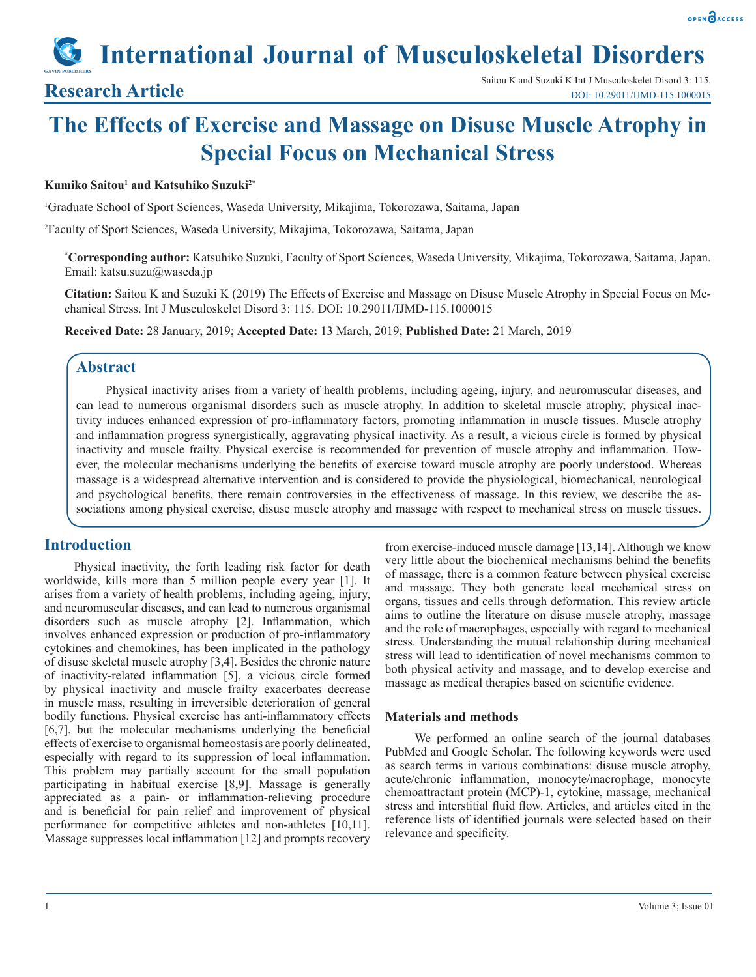# **International Journal of Musculoskeletal Disorders**

## **Research Article**

## **The Effects of Exercise and Massage on Disuse Muscle Atrophy in Special Focus on Mechanical Stress**

#### **Kumiko Saitou1 and Katsuhiko Suzuki2\***

1 Graduate School of Sport Sciences, Waseda University, Mikajima, Tokorozawa, Saitama, Japan

2 Faculty of Sport Sciences, Waseda University, Mikajima, Tokorozawa, Saitama, Japan

**\* Corresponding author:** Katsuhiko Suzuki, Faculty of Sport Sciences, Waseda University, Mikajima, Tokorozawa, Saitama, Japan. Email: katsu.suzu@waseda.jp

**Citation:** Saitou K and Suzuki K (2019) The Effects of Exercise and Massage on Disuse Muscle Atrophy in Special Focus on Mechanical Stress. Int J Musculoskelet Disord 3: 115. DOI: 10.29011/IJMD-115.1000015

**Received Date:** 28 January, 2019; **Accepted Date:** 13 March, 2019; **Published Date:** 21 March, 2019

#### **Abstract**

Physical inactivity arises from a variety of health problems, including ageing, injury, and neuromuscular diseases, and can lead to numerous organismal disorders such as muscle atrophy. In addition to skeletal muscle atrophy, physical inactivity induces enhanced expression of pro-inflammatory factors, promoting inflammation in muscle tissues. Muscle atrophy and inflammation progress synergistically, aggravating physical inactivity. As a result, a vicious circle is formed by physical inactivity and muscle frailty. Physical exercise is recommended for prevention of muscle atrophy and inflammation. However, the molecular mechanisms underlying the benefits of exercise toward muscle atrophy are poorly understood. Whereas massage is a widespread alternative intervention and is considered to provide the physiological, biomechanical, neurological and psychological benefits, there remain controversies in the effectiveness of massage. In this review, we describe the associations among physical exercise, disuse muscle atrophy and massage with respect to mechanical stress on muscle tissues.

## **Introduction**

Physical inactivity, the forth leading risk factor for death worldwide, kills more than 5 million people every year [1]. It arises from a variety of health problems, including ageing, injury, and neuromuscular diseases, and can lead to numerous organismal disorders such as muscle atrophy [2]. Inflammation, which involves enhanced expression or production of pro-inflammatory cytokines and chemokines, has been implicated in the pathology of disuse skeletal muscle atrophy [3,4]. Besides the chronic nature of inactivity-related inflammation [5], a vicious circle formed by physical inactivity and muscle frailty exacerbates decrease in muscle mass, resulting in irreversible deterioration of general bodily functions. Physical exercise has anti-inflammatory effects [6,7], but the molecular mechanisms underlying the beneficial effects of exercise to organismal homeostasis are poorly delineated, especially with regard to its suppression of local inflammation. This problem may partially account for the small population participating in habitual exercise [8,9]. Massage is generally appreciated as a pain- or inflammation-relieving procedure and is beneficial for pain relief and improvement of physical performance for competitive athletes and non-athletes [10,11]. Massage suppresses local inflammation [12] and prompts recovery

from exercise-induced muscle damage [13,14]. Although we know very little about the biochemical mechanisms behind the benefits of massage, there is a common feature between physical exercise and massage. They both generate local mechanical stress on organs, tissues and cells through deformation. This review article aims to outline the literature on disuse muscle atrophy, massage and the role of macrophages, especially with regard to mechanical stress. Understanding the mutual relationship during mechanical stress will lead to identification of novel mechanisms common to both physical activity and massage, and to develop exercise and massage as medical therapies based on scientific evidence.

#### **Materials and methods**

We performed an online search of the journal databases PubMed and Google Scholar. The following keywords were used as search terms in various combinations: disuse muscle atrophy, acute/chronic inflammation, monocyte/macrophage, monocyte chemoattractant protein (MCP)-1, cytokine, massage, mechanical stress and interstitial fluid flow. Articles, and articles cited in the reference lists of identified journals were selected based on their relevance and specificity.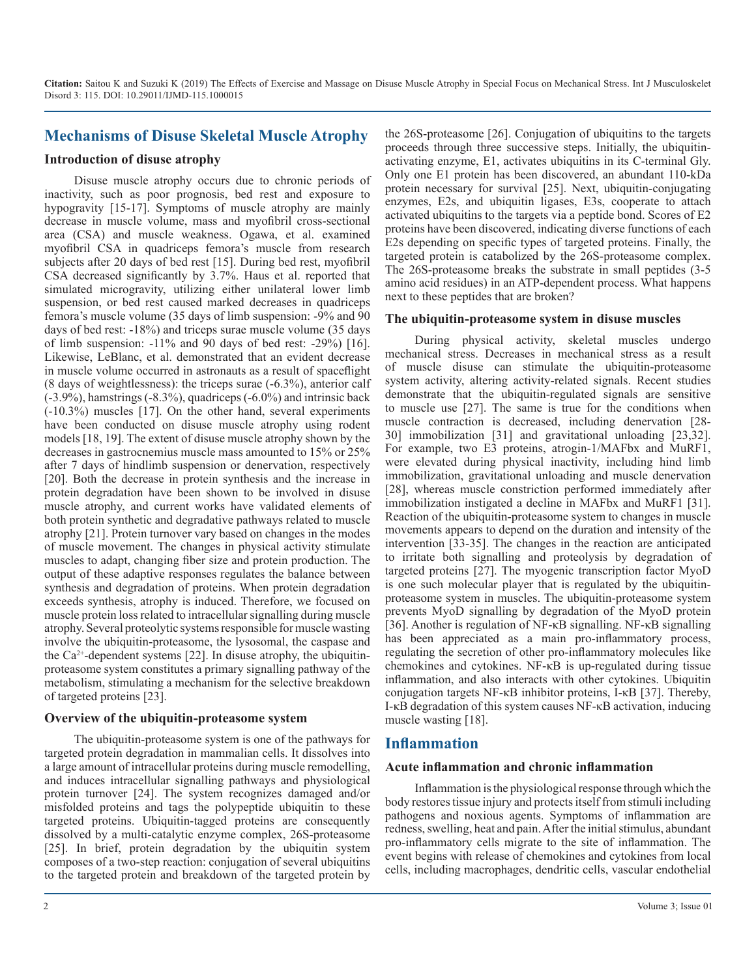## **Mechanisms of Disuse Skeletal Muscle Atrophy**

#### **Introduction of disuse atrophy**

Disuse muscle atrophy occurs due to chronic periods of inactivity, such as poor prognosis, bed rest and exposure to hypogravity [15-17]. Symptoms of muscle atrophy are mainly decrease in muscle volume, mass and myofibril cross-sectional area (CSA) and muscle weakness. Ogawa, et al. examined myofibril CSA in quadriceps femora's muscle from research subjects after 20 days of bed rest [15]. During bed rest, myofibril CSA decreased significantly by 3.7%. Haus et al. reported that simulated microgravity, utilizing either unilateral lower limb suspension, or bed rest caused marked decreases in quadriceps femora's muscle volume (35 days of limb suspension: -9% and 90 days of bed rest: -18%) and triceps surae muscle volume (35 days of limb suspension: -11% and 90 days of bed rest: -29%) [16]. Likewise, LeBlanc, et al. demonstrated that an evident decrease in muscle volume occurred in astronauts as a result of spaceflight (8 days of weightlessness): the triceps surae (-6.3%), anterior calf (-3.9%), hamstrings (-8.3%), quadriceps (-6.0%) and intrinsic back (-10.3%) muscles [17]. On the other hand, several experiments have been conducted on disuse muscle atrophy using rodent models [18, 19]. The extent of disuse muscle atrophy shown by the decreases in gastrocnemius muscle mass amounted to 15% or 25% after 7 days of hindlimb suspension or denervation, respectively [20]. Both the decrease in protein synthesis and the increase in protein degradation have been shown to be involved in disuse muscle atrophy, and current works have validated elements of both protein synthetic and degradative pathways related to muscle atrophy [21]. Protein turnover vary based on changes in the modes of muscle movement. The changes in physical activity stimulate muscles to adapt, changing fiber size and protein production. The output of these adaptive responses regulates the balance between synthesis and degradation of proteins. When protein degradation exceeds synthesis, atrophy is induced. Therefore, we focused on muscle protein loss related to intracellular signalling during muscle atrophy. Several proteolytic systems responsible for muscle wasting involve the ubiquitin-proteasome, the lysosomal, the caspase and the  $Ca^{2+}$ -dependent systems [22]. In disuse atrophy, the ubiquitinproteasome system constitutes a primary signalling pathway of the metabolism, stimulating a mechanism for the selective breakdown of targeted proteins [23].

#### **Overview of the ubiquitin-proteasome system**

The ubiquitin-proteasome system is one of the pathways for targeted protein degradation in mammalian cells. It dissolves into a large amount of intracellular proteins during muscle remodelling, and induces intracellular signalling pathways and physiological protein turnover [24]. The system recognizes damaged and/or misfolded proteins and tags the polypeptide ubiquitin to these targeted proteins. Ubiquitin-tagged proteins are consequently dissolved by a multi-catalytic enzyme complex, 26S-proteasome [25]. In brief, protein degradation by the ubiquitin system composes of a two-step reaction: conjugation of several ubiquitins to the targeted protein and breakdown of the targeted protein by

the 26S-proteasome [26]. Conjugation of ubiquitins to the targets proceeds through three successive steps. Initially, the ubiquitinactivating enzyme, E1, activates ubiquitins in its C-terminal Gly. Only one E1 protein has been discovered, an abundant 110-kDa protein necessary for survival [25]. Next, ubiquitin-conjugating enzymes, E2s, and ubiquitin ligases, E3s, cooperate to attach activated ubiquitins to the targets via a peptide bond. Scores of E2 proteins have been discovered, indicating diverse functions of each E2s depending on specific types of targeted proteins. Finally, the targeted protein is catabolized by the 26S-proteasome complex. The 26S-proteasome breaks the substrate in small peptides (3-5 amino acid residues) in an ATP-dependent process. What happens next to these peptides that are broken?

#### **The ubiquitin-proteasome system in disuse muscles**

During physical activity, skeletal muscles undergo mechanical stress. Decreases in mechanical stress as a result of muscle disuse can stimulate the ubiquitin-proteasome system activity, altering activity-related signals. Recent studies demonstrate that the ubiquitin-regulated signals are sensitive to muscle use [27]. The same is true for the conditions when muscle contraction is decreased, including denervation [28- 30] immobilization [31] and gravitational unloading [23,32]. For example, two E3 proteins, atrogin-1/MAFbx and MuRF1, were elevated during physical inactivity, including hind limb immobilization, gravitational unloading and muscle denervation [28], whereas muscle constriction performed immediately after immobilization instigated a decline in MAFbx and MuRF1 [31]. Reaction of the ubiquitin-proteasome system to changes in muscle movements appears to depend on the duration and intensity of the intervention [33-35]. The changes in the reaction are anticipated to irritate both signalling and proteolysis by degradation of targeted proteins [27]. The myogenic transcription factor MyoD is one such molecular player that is regulated by the ubiquitinproteasome system in muscles. The ubiquitin-proteasome system prevents MyoD signalling by degradation of the MyoD protein [36]. Another is regulation of NF-κB signalling. NF-κB signalling has been appreciated as a main pro-inflammatory process, regulating the secretion of other pro-inflammatory molecules like chemokines and cytokines. NF-κB is up-regulated during tissue inflammation, and also interacts with other cytokines. Ubiquitin conjugation targets NF-κB inhibitor proteins, I-κB [37]. Thereby, I-κB degradation of this system causes NF-κB activation, inducing muscle wasting [18].

#### **Inflammation**

#### **Acute inflammation and chronic inflammation**

Inflammation is the physiological response through which the body restores tissue injury and protects itself from stimuli including pathogens and noxious agents. Symptoms of inflammation are redness, swelling, heat and pain. After the initial stimulus, abundant pro-inflammatory cells migrate to the site of inflammation. The event begins with release of chemokines and cytokines from local cells, including macrophages, dendritic cells, vascular endothelial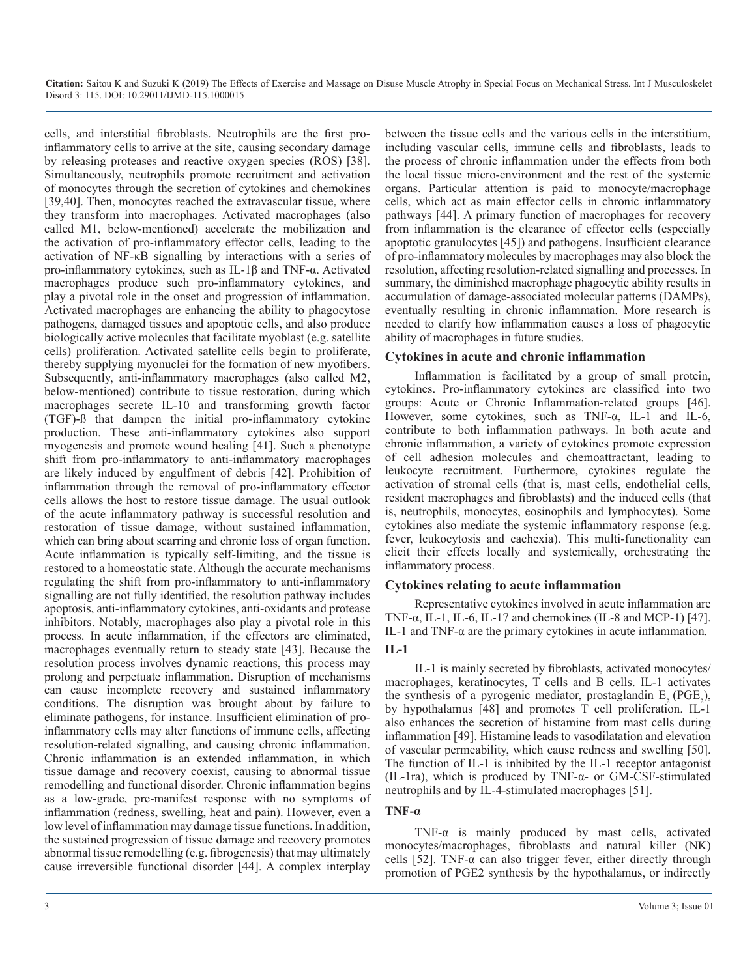cells, and interstitial fibroblasts. Neutrophils are the first proinflammatory cells to arrive at the site, causing secondary damage by releasing proteases and reactive oxygen species (ROS) [38]. Simultaneously, neutrophils promote recruitment and activation of monocytes through the secretion of cytokines and chemokines [39,40]. Then, monocytes reached the extravascular tissue, where they transform into macrophages. Activated macrophages (also called M1, below-mentioned) accelerate the mobilization and the activation of pro-inflammatory effector cells, leading to the activation of NF-κB signalling by interactions with a series of pro-inflammatory cytokines, such as IL-1β and TNF-α. Activated macrophages produce such pro-inflammatory cytokines, and play a pivotal role in the onset and progression of inflammation. Activated macrophages are enhancing the ability to phagocytose pathogens, damaged tissues and apoptotic cells, and also produce biologically active molecules that facilitate myoblast (e.g. satellite cells) proliferation. Activated satellite cells begin to proliferate, thereby supplying myonuclei for the formation of new myofibers. Subsequently, anti-inflammatory macrophages (also called M2, below-mentioned) contribute to tissue restoration, during which macrophages secrete IL-10 and transforming growth factor (TGF)-ß that dampen the initial pro-inflammatory cytokine production. These anti-inflammatory cytokines also support myogenesis and promote wound healing [41]. Such a phenotype shift from pro-inflammatory to anti-inflammatory macrophages are likely induced by engulfment of debris [42]. Prohibition of inflammation through the removal of pro-inflammatory effector cells allows the host to restore tissue damage. The usual outlook of the acute inflammatory pathway is successful resolution and restoration of tissue damage, without sustained inflammation, which can bring about scarring and chronic loss of organ function. Acute inflammation is typically self-limiting, and the tissue is restored to a homeostatic state. Although the accurate mechanisms regulating the shift from pro-inflammatory to anti-inflammatory signalling are not fully identified, the resolution pathway includes apoptosis, anti-inflammatory cytokines, anti-oxidants and protease inhibitors. Notably, macrophages also play a pivotal role in this process. In acute inflammation, if the effectors are eliminated, macrophages eventually return to steady state [43]. Because the resolution process involves dynamic reactions, this process may prolong and perpetuate inflammation. Disruption of mechanisms can cause incomplete recovery and sustained inflammatory conditions. The disruption was brought about by failure to eliminate pathogens, for instance. Insufficient elimination of proinflammatory cells may alter functions of immune cells, affecting resolution-related signalling, and causing chronic inflammation. Chronic inflammation is an extended inflammation, in which tissue damage and recovery coexist, causing to abnormal tissue remodelling and functional disorder. Chronic inflammation begins as a low-grade, pre-manifest response with no symptoms of inflammation (redness, swelling, heat and pain). However, even a low level of inflammation may damage tissue functions. In addition, the sustained progression of tissue damage and recovery promotes abnormal tissue remodelling (e.g. fibrogenesis) that may ultimately cause irreversible functional disorder [44]. A complex interplay

between the tissue cells and the various cells in the interstitium, including vascular cells, immune cells and fibroblasts, leads to the process of chronic inflammation under the effects from both the local tissue micro-environment and the rest of the systemic organs. Particular attention is paid to monocyte/macrophage cells, which act as main effector cells in chronic inflammatory pathways [44]. A primary function of macrophages for recovery from inflammation is the clearance of effector cells (especially apoptotic granulocytes [45]) and pathogens. Insufficient clearance of pro-inflammatory molecules by macrophages may also block the resolution, affecting resolution-related signalling and processes. In summary, the diminished macrophage phagocytic ability results in accumulation of damage-associated molecular patterns (DAMPs), eventually resulting in chronic inflammation. More research is needed to clarify how inflammation causes a loss of phagocytic ability of macrophages in future studies.

#### **Cytokines in acute and chronic inflammation**

Inflammation is facilitated by a group of small protein, cytokines. Pro-inflammatory cytokines are classified into two groups: Acute or Chronic Inflammation-related groups [46]. However, some cytokines, such as TNF-α, IL-1 and IL-6, contribute to both inflammation pathways. In both acute and chronic inflammation, a variety of cytokines promote expression of cell adhesion molecules and chemoattractant, leading to leukocyte recruitment. Furthermore, cytokines regulate the activation of stromal cells (that is, mast cells, endothelial cells, resident macrophages and fibroblasts) and the induced cells (that is, neutrophils, monocytes, eosinophils and lymphocytes). Some cytokines also mediate the systemic inflammatory response (e.g. fever, leukocytosis and cachexia). This multi-functionality can elicit their effects locally and systemically, orchestrating the inflammatory process.

#### **Cytokines relating to acute inflammation**

Representative cytokines involved in acute inflammation are TNF- $\alpha$ , IL-1, IL-6, IL-17 and chemokines (IL-8 and MCP-1) [47]. IL-1 and TNF-α are the primary cytokines in acute inflammation. **IL-1**

IL-1 is mainly secreted by fibroblasts, activated monocytes/ macrophages, keratinocytes, T cells and B cells. IL-1 activates the synthesis of a pyrogenic mediator, prostaglandin  $E_2(PGE_2)$ , by hypothalamus [48] and promotes T cell proliferation. IL-1 also enhances the secretion of histamine from mast cells during inflammation [49]. Histamine leads to vasodilatation and elevation of vascular permeability, which cause redness and swelling [50]. The function of IL-1 is inhibited by the IL-1 receptor antagonist (IL-1ra), which is produced by TNF-α- or GM-CSF-stimulated neutrophils and by IL-4-stimulated macrophages [51].

#### **TNF-α**

TNF- $\alpha$  is mainly produced by mast cells, activated monocytes/macrophages, fibroblasts and natural killer (NK) cells [52]. TNF- $\alpha$  can also trigger fever, either directly through promotion of PGE2 synthesis by the hypothalamus, or indirectly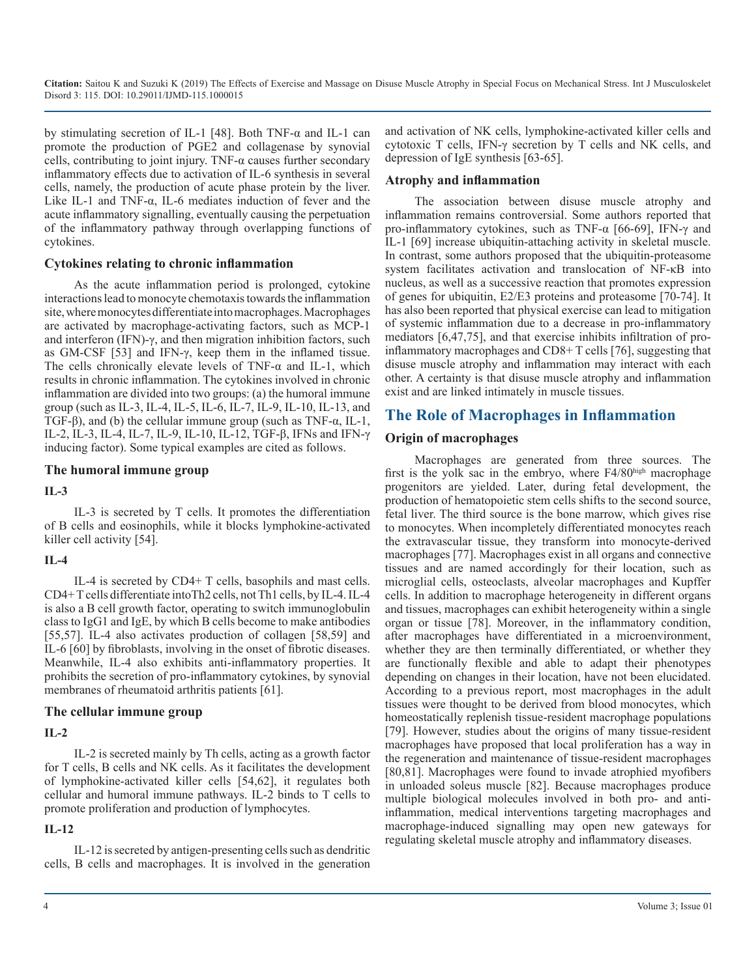by stimulating secretion of IL-1 [48]. Both TNF-α and IL-1 can promote the production of PGE2 and collagenase by synovial cells, contributing to joint injury. TNF- $\alpha$  causes further secondary inflammatory effects due to activation of IL-6 synthesis in several cells, namely, the production of acute phase protein by the liver. Like IL-1 and TNF- $\alpha$ , IL-6 mediates induction of fever and the acute inflammatory signalling, eventually causing the perpetuation of the inflammatory pathway through overlapping functions of cytokines.

#### **Cytokines relating to chronic inflammation**

As the acute inflammation period is prolonged, cytokine interactions lead to monocyte chemotaxis towards the inflammation site, where monocytes differentiate into macrophages. Macrophages are activated by macrophage-activating factors, such as MCP-1 and interferon (IFN)-γ, and then migration inhibition factors, such as GM-CSF [53] and IFN-γ, keep them in the inflamed tissue. The cells chronically elevate levels of TNF-α and IL-1, which results in chronic inflammation. The cytokines involved in chronic inflammation are divided into two groups: (a) the humoral immune group (such as IL-3, IL-4, IL-5, IL-6, IL-7, IL-9, IL-10, IL-13, and TGF- $\beta$ ), and (b) the cellular immune group (such as TNF- $\alpha$ , IL-1, IL-2, IL-3, IL-4, IL-7, IL-9, IL-10, IL-12, TGF-β, IFNs and IFN-γ inducing factor). Some typical examples are cited as follows.

#### **The humoral immune group**

#### **IL-3**

IL-3 is secreted by T cells. It promotes the differentiation of B cells and eosinophils, while it blocks lymphokine-activated killer cell activity [54].

#### **IL-4**

IL-4 is secreted by CD4+ T cells, basophils and mast cells. CD4+ T cells differentiate intoTh2 cells, not Th1 cells, by IL-4. IL-4 is also a B cell growth factor, operating to switch immunoglobulin class to IgG1 and IgE, by which B cells become to make antibodies [55,57]. IL-4 also activates production of collagen [58,59] and IL-6 [60] by fibroblasts, involving in the onset of fibrotic diseases. Meanwhile, IL-4 also exhibits anti-inflammatory properties. It prohibits the secretion of pro-inflammatory cytokines, by synovial membranes of rheumatoid arthritis patients [61].

#### **The cellular immune group**

## **IL-2**

IL-2 is secreted mainly by Th cells, acting as a growth factor for T cells, B cells and NK cells. As it facilitates the development of lymphokine-activated killer cells [54,62], it regulates both cellular and humoral immune pathways. IL-2 binds to T cells to promote proliferation and production of lymphocytes.

## **IL-12**

IL-12 is secreted by antigen-presenting cells such as dendritic cells, B cells and macrophages. It is involved in the generation and activation of NK cells, lymphokine-activated killer cells and cytotoxic T cells, IFN-γ secretion by T cells and NK cells, and depression of IgE synthesis [63-65].

## **Atrophy and inflammation**

The association between disuse muscle atrophy and inflammation remains controversial. Some authors reported that pro-inflammatory cytokines, such as TNF-α [66-69], IFN-γ and IL-1 [69] increase ubiquitin-attaching activity in skeletal muscle. In contrast, some authors proposed that the ubiquitin-proteasome system facilitates activation and translocation of NF-κB into nucleus, as well as a successive reaction that promotes expression of genes for ubiquitin, E2/E3 proteins and proteasome [70-74]. It has also been reported that physical exercise can lead to mitigation of systemic inflammation due to a decrease in pro-inflammatory mediators [6,47,75], and that exercise inhibits infiltration of proinflammatory macrophages and CD8+ T cells [76], suggesting that disuse muscle atrophy and inflammation may interact with each other. A certainty is that disuse muscle atrophy and inflammation exist and are linked intimately in muscle tissues.

## **The Role of Macrophages in Inflammation**

## **Origin of macrophages**

Macrophages are generated from three sources. The first is the yolk sac in the embryo, where  $F4/80<sup>high</sup>$  macrophage progenitors are yielded. Later, during fetal development, the production of hematopoietic stem cells shifts to the second source, fetal liver. The third source is the bone marrow, which gives rise to monocytes. When incompletely differentiated monocytes reach the extravascular tissue, they transform into monocyte-derived macrophages [77]. Macrophages exist in all organs and connective tissues and are named accordingly for their location, such as microglial cells, osteoclasts, alveolar macrophages and Kupffer cells. In addition to macrophage heterogeneity in different organs and tissues, macrophages can exhibit heterogeneity within a single organ or tissue [78]. Moreover, in the inflammatory condition, after macrophages have differentiated in a microenvironment, whether they are then terminally differentiated, or whether they are functionally flexible and able to adapt their phenotypes depending on changes in their location, have not been elucidated. According to a previous report, most macrophages in the adult tissues were thought to be derived from blood monocytes, which homeostatically replenish tissue-resident macrophage populations [79]. However, studies about the origins of many tissue-resident macrophages have proposed that local proliferation has a way in the regeneration and maintenance of tissue-resident macrophages [80,81]. Macrophages were found to invade atrophied myofibers in unloaded soleus muscle [82]. Because macrophages produce multiple biological molecules involved in both pro- and antiinflammation, medical interventions targeting macrophages and macrophage-induced signalling may open new gateways for regulating skeletal muscle atrophy and inflammatory diseases.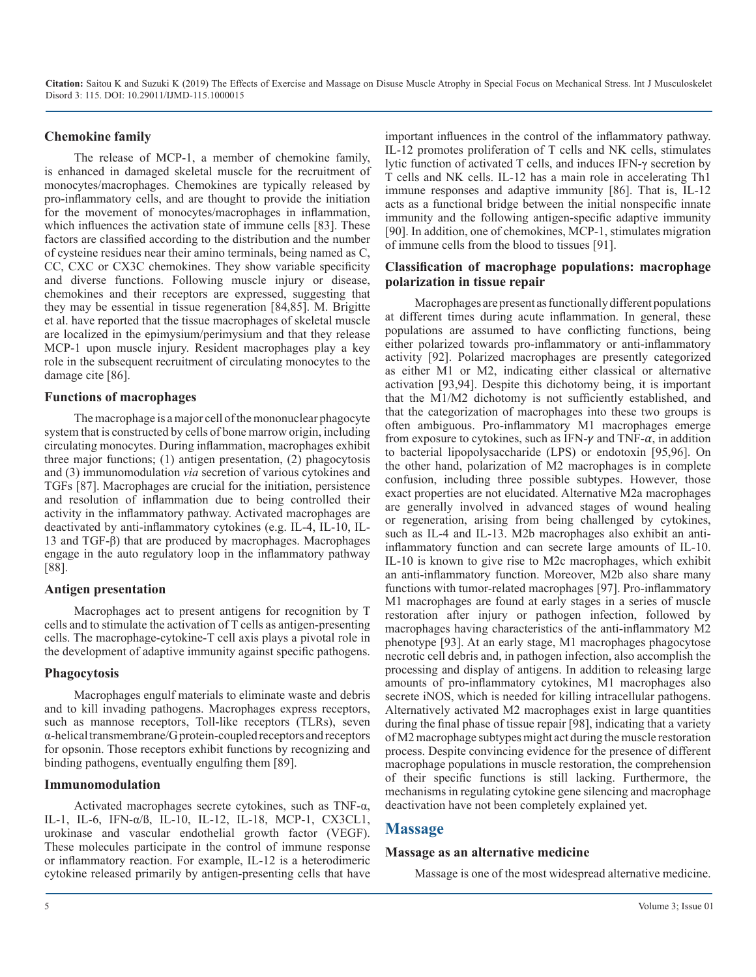#### **Chemokine family**

The release of MCP-1, a member of chemokine family, is enhanced in damaged skeletal muscle for the recruitment of monocytes/macrophages. Chemokines are typically released by pro-inflammatory cells, and are thought to provide the initiation for the movement of monocytes/macrophages in inflammation, which influences the activation state of immune cells [83]. These factors are classified according to the distribution and the number of cysteine residues near their amino terminals, being named as C, CC, CXC or CX3C chemokines. They show variable specificity and diverse functions. Following muscle injury or disease, chemokines and their receptors are expressed, suggesting that they may be essential in tissue regeneration [84,85]. M. Brigitte et al. have reported that the tissue macrophages of skeletal muscle are localized in the epimysium/perimysium and that they release MCP-1 upon muscle injury. Resident macrophages play a key role in the subsequent recruitment of circulating monocytes to the damage cite [86].

#### **Functions of macrophages**

The macrophage is a major cell of the mononuclear phagocyte system that is constructed by cells of bone marrow origin, including circulating monocytes. During inflammation, macrophages exhibit three major functions; (1) antigen presentation, (2) phagocytosis and (3) immunomodulation *via* secretion of various cytokines and TGFs [87]. Macrophages are crucial for the initiation, persistence and resolution of inflammation due to being controlled their activity in the inflammatory pathway. Activated macrophages are deactivated by anti-inflammatory cytokines (e.g. IL-4, IL-10, IL-13 and TGF-β) that are produced by macrophages. Macrophages engage in the auto regulatory loop in the inflammatory pathway [88].

#### **Antigen presentation**

Macrophages act to present antigens for recognition by T cells and to stimulate the activation of T cells as antigen-presenting cells. The macrophage-cytokine-T cell axis plays a pivotal role in the development of adaptive immunity against specific pathogens.

#### **Phagocytosis**

Macrophages engulf materials to eliminate waste and debris and to kill invading pathogens. Macrophages express receptors, such as mannose receptors, Toll-like receptors (TLRs), seven α-helical transmembrane/G protein-coupled receptors and receptors for opsonin. Those receptors exhibit functions by recognizing and binding pathogens, eventually engulfing them [89].

#### **Immunomodulation**

Activated macrophages secrete cytokines, such as TNF-α, IL-1, IL-6, IFN-α/ß, IL-10, IL-12, IL-18, MCP-1, CX3CL1, urokinase and vascular endothelial growth factor (VEGF). These molecules participate in the control of immune response or inflammatory reaction. For example, IL-12 is a heterodimeric cytokine released primarily by antigen-presenting cells that have

important influences in the control of the inflammatory pathway. IL-12 promotes proliferation of T cells and NK cells, stimulates lytic function of activated T cells, and induces IFN-γ secretion by T cells and NK cells. IL-12 has a main role in accelerating Th1 immune responses and adaptive immunity [86]. That is, IL-12 acts as a functional bridge between the initial nonspecific innate immunity and the following antigen-specific adaptive immunity [90]. In addition, one of chemokines, MCP-1, stimulates migration of immune cells from the blood to tissues [91].

#### **Classification of macrophage populations: macrophage polarization in tissue repair**

Macrophages are present as functionally different populations at different times during acute inflammation. In general, these populations are assumed to have conflicting functions, being either polarized towards pro-inflammatory or anti-inflammatory activity [92]. Polarized macrophages are presently categorized as either M1 or M2, indicating either classical or alternative activation [93,94]. Despite this dichotomy being, it is important that the M1/M2 dichotomy is not sufficiently established, and that the categorization of macrophages into these two groups is often ambiguous. Pro-inflammatory M1 macrophages emerge from exposure to cytokines, such as IFN- $\gamma$  and TNF- $\alpha$ , in addition to bacterial lipopolysaccharide (LPS) or endotoxin [95,96]. On the other hand, polarization of M2 macrophages is in complete confusion, including three possible subtypes. However, those exact properties are not elucidated. Alternative M2a macrophages are generally involved in advanced stages of wound healing or regeneration, arising from being challenged by cytokines, such as IL-4 and IL-13. M2b macrophages also exhibit an antiinflammatory function and can secrete large amounts of IL-10. IL-10 is known to give rise to M2c macrophages, which exhibit an anti-inflammatory function. Moreover, M2b also share many functions with tumor-related macrophages [97]. Pro-inflammatory M1 macrophages are found at early stages in a series of muscle restoration after injury or pathogen infection, followed by macrophages having characteristics of the anti-inflammatory M2 phenotype [93]. At an early stage, M1 macrophages phagocytose necrotic cell debris and, in pathogen infection, also accomplish the processing and display of antigens. In addition to releasing large amounts of pro-inflammatory cytokines, M1 macrophages also secrete iNOS, which is needed for killing intracellular pathogens. Alternatively activated M2 macrophages exist in large quantities during the final phase of tissue repair [98], indicating that a variety of M2 macrophage subtypes might act during the muscle restoration process. Despite convincing evidence for the presence of different macrophage populations in muscle restoration, the comprehension of their specific functions is still lacking. Furthermore, the mechanisms in regulating cytokine gene silencing and macrophage deactivation have not been completely explained yet.

## **Massage**

#### **Massage as an alternative medicine**

Massage is one of the most widespread alternative medicine.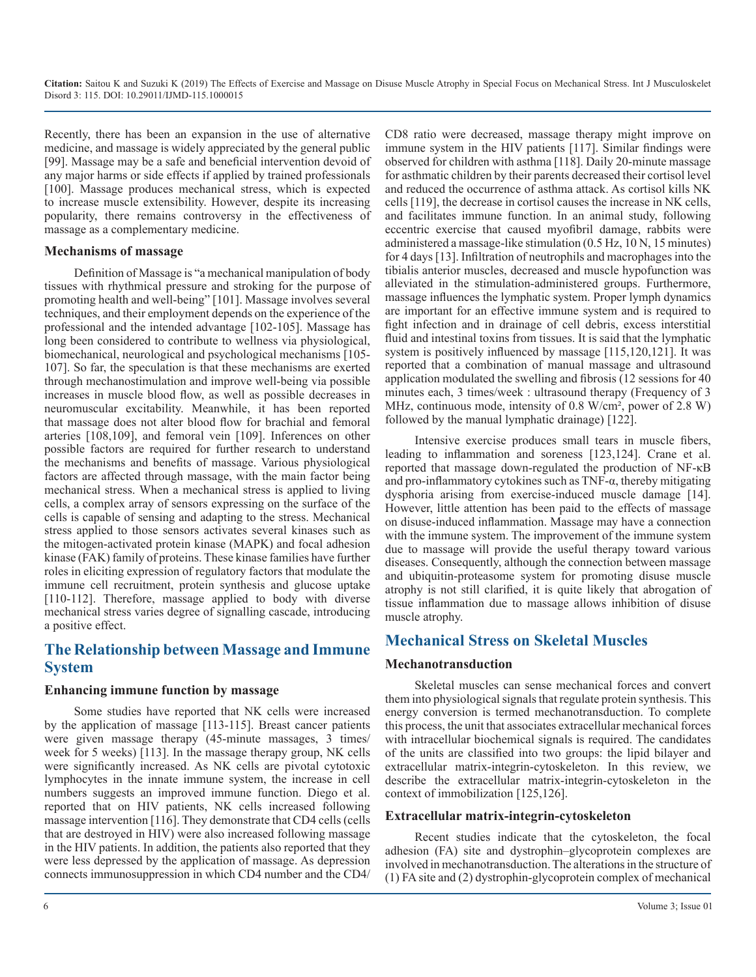Recently, there has been an expansion in the use of alternative medicine, and massage is widely appreciated by the general public [99]. Massage may be a safe and beneficial intervention devoid of any major harms or side effects if applied by trained professionals [100]. Massage produces mechanical stress, which is expected to increase muscle extensibility. However, despite its increasing popularity, there remains controversy in the effectiveness of massage as a complementary medicine.

#### **Mechanisms of massage**

Definition of Massage is "a mechanical manipulation of body tissues with rhythmical pressure and stroking for the purpose of promoting health and well-being" [101]. Massage involves several techniques, and their employment depends on the experience of the professional and the intended advantage [102-105]. Massage has long been considered to contribute to wellness via physiological, biomechanical, neurological and psychological mechanisms [105- 107]. So far, the speculation is that these mechanisms are exerted through mechanostimulation and improve well-being via possible increases in muscle blood flow, as well as possible decreases in neuromuscular excitability. Meanwhile, it has been reported that massage does not alter blood flow for brachial and femoral arteries [108,109], and femoral vein [109]. Inferences on other possible factors are required for further research to understand the mechanisms and benefits of massage. Various physiological factors are affected through massage, with the main factor being mechanical stress. When a mechanical stress is applied to living cells, a complex array of sensors expressing on the surface of the cells is capable of sensing and adapting to the stress. Mechanical stress applied to those sensors activates several kinases such as the mitogen-activated protein kinase (MAPK) and focal adhesion kinase (FAK) family of proteins. These kinase families have further roles in eliciting expression of regulatory factors that modulate the immune cell recruitment, protein synthesis and glucose uptake [110-112]. Therefore, massage applied to body with diverse mechanical stress varies degree of signalling cascade, introducing a positive effect.

## **The Relationship between Massage and Immune System**

#### **Enhancing immune function by massage**

Some studies have reported that NK cells were increased by the application of massage [113-115]. Breast cancer patients were given massage therapy (45-minute massages, 3 times/ week for 5 weeks) [113]. In the massage therapy group, NK cells were significantly increased. As NK cells are pivotal cytotoxic lymphocytes in the innate immune system, the increase in cell numbers suggests an improved immune function. Diego et al. reported that on HIV patients, NK cells increased following massage intervention [116]. They demonstrate that CD4 cells (cells that are destroyed in HIV) were also increased following massage in the HIV patients. In addition, the patients also reported that they were less depressed by the application of massage. As depression connects immunosuppression in which CD4 number and the CD4/

CD8 ratio were decreased, massage therapy might improve on immune system in the HIV patients [117]. Similar findings were observed for children with asthma [118]. Daily 20-minute massage for asthmatic children by their parents decreased their cortisol level and reduced the occurrence of asthma attack. As cortisol kills NK cells [119], the decrease in cortisol causes the increase in NK cells, and facilitates immune function. In an animal study, following eccentric exercise that caused myofibril damage, rabbits were administered a massage-like stimulation (0.5 Hz, 10 N, 15 minutes) for 4 days [13]. Infiltration of neutrophils and macrophages into the tibialis anterior muscles, decreased and muscle hypofunction was alleviated in the stimulation-administered groups. Furthermore, massage influences the lymphatic system. Proper lymph dynamics are important for an effective immune system and is required to fight infection and in drainage of cell debris, excess interstitial fluid and intestinal toxins from tissues. It is said that the lymphatic system is positively influenced by massage [115,120,121]. It was reported that a combination of manual massage and ultrasound application modulated the swelling and fibrosis (12 sessions for 40 minutes each, 3 times/week : ultrasound therapy (Frequency of 3 MHz, continuous mode, intensity of 0.8 W/cm², power of 2.8 W) followed by the manual lymphatic drainage) [122].

Intensive exercise produces small tears in muscle fibers, leading to inflammation and soreness [123,124]. Crane et al. reported that massage down-regulated the production of NF-κB and pro-inflammatory cytokines such as  $TNF-\alpha$ , thereby mitigating dysphoria arising from exercise-induced muscle damage [14]. However, little attention has been paid to the effects of massage on disuse-induced inflammation. Massage may have a connection with the immune system. The improvement of the immune system due to massage will provide the useful therapy toward various diseases. Consequently, although the connection between massage and ubiquitin-proteasome system for promoting disuse muscle atrophy is not still clarified, it is quite likely that abrogation of tissue inflammation due to massage allows inhibition of disuse muscle atrophy.

## **Mechanical Stress on Skeletal Muscles**

#### **Mechanotransduction**

Skeletal muscles can sense mechanical forces and convert them into physiological signals that regulate protein synthesis. This energy conversion is termed mechanotransduction. To complete this process, the unit that associates extracellular mechanical forces with intracellular biochemical signals is required. The candidates of the units are classified into two groups: the lipid bilayer and extracellular matrix-integrin-cytoskeleton. In this review, we describe the extracellular matrix-integrin-cytoskeleton in the context of immobilization [125,126].

#### **Extracellular matrix-integrin-cytoskeleton**

Recent studies indicate that the cytoskeleton, the focal adhesion (FA) site and dystrophin–glycoprotein complexes are involved in mechanotransduction. The alterations in the structure of (1) FA site and (2) dystrophin-glycoprotein complex of mechanical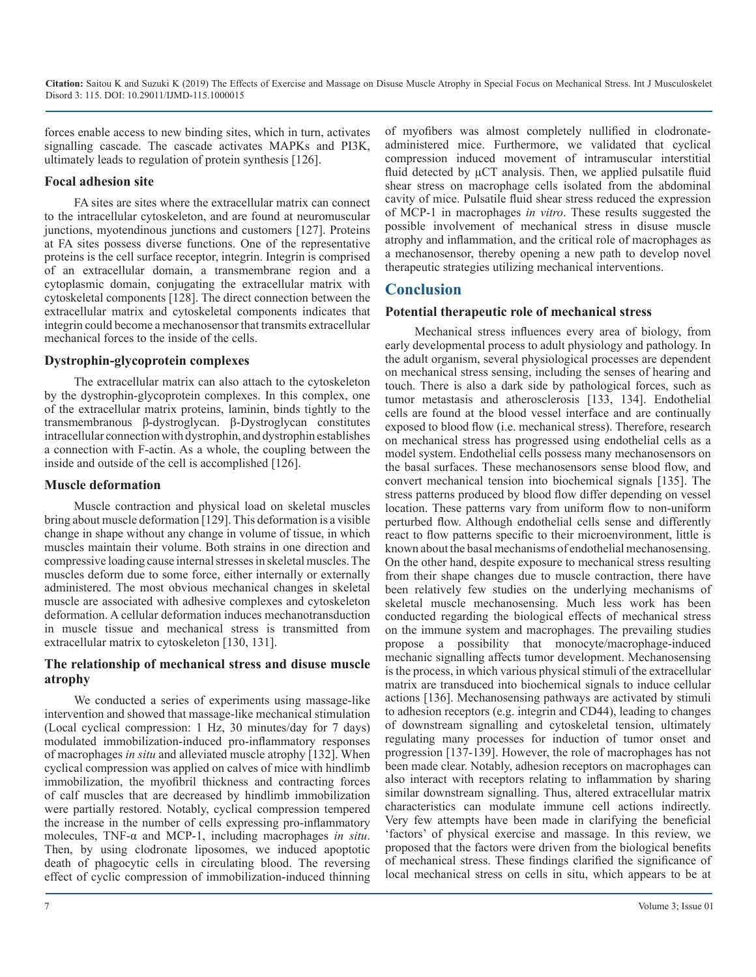forces enable access to new binding sites, which in turn, activates signalling cascade. The cascade activates MAPKs and PI3K, ultimately leads to regulation of protein synthesis [126].

#### **Focal adhesion site**

FA sites are sites where the extracellular matrix can connect to the intracellular cytoskeleton, and are found at neuromuscular junctions, myotendinous junctions and customers [127]. Proteins at FA sites possess diverse functions. One of the representative proteins is the cell surface receptor, integrin. Integrin is comprised of an extracellular domain, a transmembrane region and a cytoplasmic domain, conjugating the extracellular matrix with cytoskeletal components [128]. The direct connection between the extracellular matrix and cytoskeletal components indicates that integrin could become a mechanosensor that transmits extracellular mechanical forces to the inside of the cells.

#### **Dystrophin-glycoprotein complexes**

The extracellular matrix can also attach to the cytoskeleton by the dystrophin-glycoprotein complexes. In this complex, one of the extracellular matrix proteins, laminin, binds tightly to the transmembranous β-dystroglycan. β-Dystroglycan constitutes intracellular connection with dystrophin, and dystrophin establishes a connection with F-actin. As a whole, the coupling between the inside and outside of the cell is accomplished [126].

#### **Muscle deformation**

Muscle contraction and physical load on skeletal muscles bring about muscle deformation [129]. This deformation is a visible change in shape without any change in volume of tissue, in which muscles maintain their volume. Both strains in one direction and compressive loading cause internal stresses in skeletal muscles. The muscles deform due to some force, either internally or externally administered. The most obvious mechanical changes in skeletal muscle are associated with adhesive complexes and cytoskeleton deformation. A cellular deformation induces mechanotransduction in muscle tissue and mechanical stress is transmitted from extracellular matrix to cytoskeleton [130, 131].

#### **The relationship of mechanical stress and disuse muscle atrophy**

We conducted a series of experiments using massage-like intervention and showed that massage-like mechanical stimulation (Local cyclical compression: 1 Hz, 30 minutes/day for 7 days) modulated immobilization-induced pro-inflammatory responses of macrophages *in situ* and alleviated muscle atrophy [132]. When cyclical compression was applied on calves of mice with hindlimb immobilization, the myofibril thickness and contracting forces of calf muscles that are decreased by hindlimb immobilization were partially restored. Notably, cyclical compression tempered the increase in the number of cells expressing pro-inflammatory molecules, TNF-α and MCP-1, including macrophages *in situ*. Then, by using clodronate liposomes, we induced apoptotic death of phagocytic cells in circulating blood. The reversing effect of cyclic compression of immobilization-induced thinning of myofibers was almost completely nullified in clodronateadministered mice. Furthermore, we validated that cyclical compression induced movement of intramuscular interstitial fluid detected by  $\mu$ CT analysis. Then, we applied pulsatile fluid shear stress on macrophage cells isolated from the abdominal cavity of mice. Pulsatile fluid shear stress reduced the expression of MCP-1 in macrophages *in vitro*. These results suggested the possible involvement of mechanical stress in disuse muscle atrophy and inflammation, and the critical role of macrophages as a mechanosensor, thereby opening a new path to develop novel therapeutic strategies utilizing mechanical interventions.

## **Conclusion**

#### **Potential therapeutic role of mechanical stress**

Mechanical stress influences every area of biology, from early developmental process to adult physiology and pathology. In the adult organism, several physiological processes are dependent on mechanical stress sensing, including the senses of hearing and touch. There is also a dark side by pathological forces, such as tumor metastasis and atherosclerosis [133, 134]. Endothelial cells are found at the blood vessel interface and are continually exposed to blood flow (i.e. mechanical stress). Therefore, research on mechanical stress has progressed using endothelial cells as a model system. Endothelial cells possess many mechanosensors on the basal surfaces. These mechanosensors sense blood flow, and convert mechanical tension into biochemical signals [135]. The stress patterns produced by blood flow differ depending on vessel location. These patterns vary from uniform flow to non-uniform perturbed flow. Although endothelial cells sense and differently react to flow patterns specific to their microenvironment, little is known about the basal mechanisms of endothelial mechanosensing. On the other hand, despite exposure to mechanical stress resulting from their shape changes due to muscle contraction, there have been relatively few studies on the underlying mechanisms of skeletal muscle mechanosensing. Much less work has been conducted regarding the biological effects of mechanical stress on the immune system and macrophages. The prevailing studies propose a possibility that monocyte/macrophage-induced mechanic signalling affects tumor development. Mechanosensing is the process, in which various physical stimuli of the extracellular matrix are transduced into biochemical signals to induce cellular actions [136]. Mechanosensing pathways are activated by stimuli to adhesion receptors (e.g. integrin and CD44), leading to changes of downstream signalling and cytoskeletal tension, ultimately regulating many processes for induction of tumor onset and progression [137-139]. However, the role of macrophages has not been made clear. Notably, adhesion receptors on macrophages can also interact with receptors relating to inflammation by sharing similar downstream signalling. Thus, altered extracellular matrix characteristics can modulate immune cell actions indirectly. Very few attempts have been made in clarifying the beneficial 'factors' of physical exercise and massage. In this review, we proposed that the factors were driven from the biological benefits of mechanical stress. These findings clarified the significance of local mechanical stress on cells in situ, which appears to be at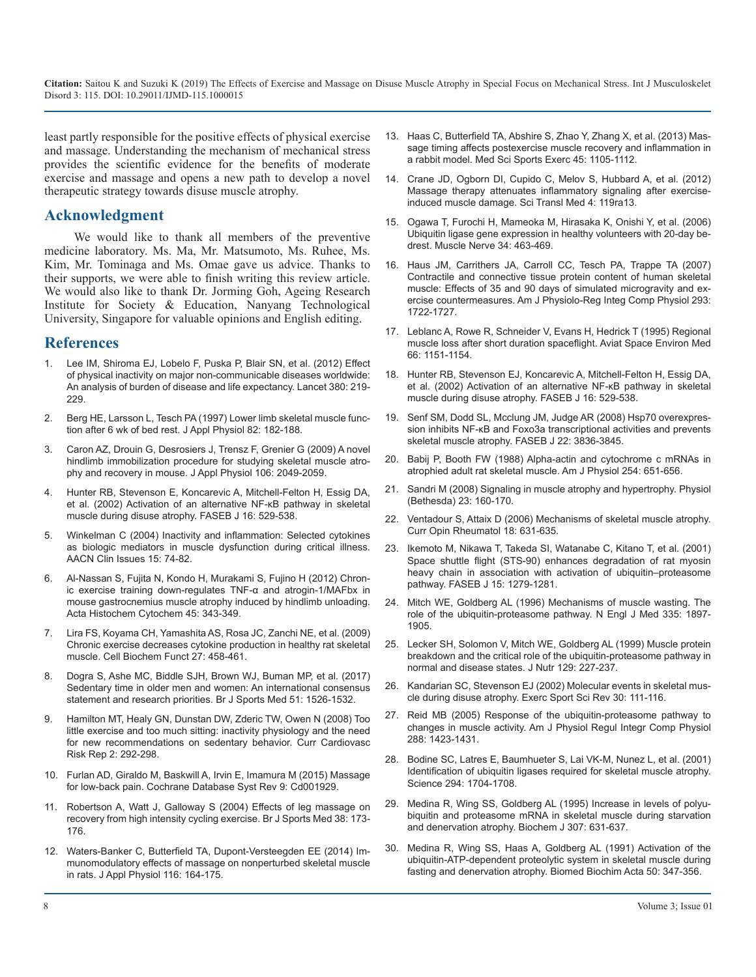least partly responsible for the positive effects of physical exercise and massage. Understanding the mechanism of mechanical stress provides the scientific evidence for the benefits of moderate exercise and massage and opens a new path to develop a novel therapeutic strategy towards disuse muscle atrophy.

#### **Acknowledgment**

We would like to thank all members of the preventive medicine laboratory. Ms. Ma, Mr. Matsumoto, Ms. Ruhee, Ms. Kim, Mr. Tominaga and Ms. Omae gave us advice. Thanks to their supports, we were able to finish writing this review article. We would also like to thank Dr. Jorming Goh, Ageing Research Institute for Society & Education, Nanyang Technological University, Singapore for valuable opinions and English editing.

#### **References**

- [Lee IM, Shiroma EJ, Lobelo F, Puska P, Blair SN, et al. \(2012\) Effect](https://www.ncbi.nlm.nih.gov/pubmed/22818936) of physical inactivity on major non-communicable diseases worldwide: [An analysis of burden of disease and life expectancy. Lancet 380: 219-](https://www.ncbi.nlm.nih.gov/pubmed/22818936) [229.](https://www.ncbi.nlm.nih.gov/pubmed/22818936)
- 2. [Berg HE, Larsson L, Tesch PA \(1997\) Lower limb skeletal muscle func](https://www.ncbi.nlm.nih.gov/pubmed/9029214)tion after 6 wk of bed rest. J Appl Physiol 82: 182-188.
- 3. [Caron AZ, Drouin G, Desrosiers J, Trensz F, Grenier G \(2009\) A novel](https://www.ncbi.nlm.nih.gov/pubmed/19342435) hindlimb immobilization procedure for studying skeletal muscle atro[phy and recovery in mouse. J Appl Physiol 106: 2049-2059.](https://www.ncbi.nlm.nih.gov/pubmed/19342435)
- 4. [Hunter RB, Stevenson E, Koncarevic A, Mitchell-Felton H, Essig DA,](https://www.ncbi.nlm.nih.gov/pubmed/11919155)  et al. (2002) Activation of an alternative NF-κB pathway in skeletal [muscle during disuse atrophy. FASEB J 16: 529-538.](https://www.ncbi.nlm.nih.gov/pubmed/11919155)
- 5. [Winkelman C \(2004\) Inactivity and inflammation: Selected cytokines](https://www.ncbi.nlm.nih.gov/pubmed/14767366)  as biologic mediators in muscle dysfunction during critical illness. [AACN Clin Issues 15: 74-82.](https://www.ncbi.nlm.nih.gov/pubmed/14767366)
- 6. [Al-Nassan S, Fujita N, Kondo H, Murakami S, Fujino H \(2012\) Chron](https://www.ncbi.nlm.nih.gov/pubmed/23378678)ic exercise training down-regulates TNF-α and atrogin-1/MAFbx in [mouse gastrocnemius muscle atrophy induced by hindlimb unloading.](https://www.ncbi.nlm.nih.gov/pubmed/23378678)  [Acta Histochem Cytochem 45: 343-349.](https://www.ncbi.nlm.nih.gov/pubmed/23378678)
- 7. [Lira FS, Koyama CH, Yamashita AS, Rosa JC, Zanchi NE, et al. \(2009\)](https://www.ncbi.nlm.nih.gov/pubmed/19681095)  Chronic exercise decreases cytokine production in healthy rat skeletal [muscle. Cell Biochem Funct 27: 458-461.](https://www.ncbi.nlm.nih.gov/pubmed/19681095)
- 8. [Dogra S, Ashe MC, Biddle SJH, Brown WJ, Buman MP, et al. \(2017\)](https://bjsm.bmj.com/content/51/21/1526)  Sedentary time in older men and women: An international consensus [statement and research priorities. Br J Sports Med 51: 1526-1532.](https://bjsm.bmj.com/content/51/21/1526)
- 9. [Hamilton MT, Healy GN, Dunstan DW, Zderic TW, Owen N \(2008\) Too](https://www.ncbi.nlm.nih.gov/pmc/articles/PMC3419586/)  little exercise and too much sitting: inactivity physiology and the need [for new recommendations on sedentary behavior. Curr Cardiovasc](https://www.ncbi.nlm.nih.gov/pmc/articles/PMC3419586/)  [Risk Rep 2: 292-298.](https://www.ncbi.nlm.nih.gov/pmc/articles/PMC3419586/)
- 10. [Furlan AD, Giraldo M, Baskwill A, Irvin E, Imamura M \(2015\) Massage](https://www.ncbi.nlm.nih.gov/pubmed/26329399)  for low-back pain. Cochrane Database Syst Rev 9: Cd001929.
- 11. [Robertson A, Watt J, Galloway S \(2004\) Effects of leg massage on](https://www.ncbi.nlm.nih.gov/pubmed/15039254)  recovery from high intensity cycling exercise. Br J Sports Med 38: 173- [176.](https://www.ncbi.nlm.nih.gov/pubmed/15039254)
- 12. [Waters-Banker C, Butterfield TA, Dupont-Versteegden EE \(2014\) Im](https://www.ncbi.nlm.nih.gov/pubmed/24201707)munomodulatory effects of massage on nonperturbed skeletal muscle [in rats. J Appl Physiol 116: 164-175.](https://www.ncbi.nlm.nih.gov/pubmed/24201707)
- 13. [Haas C, Butterfield TA, Abshire S, Zhao Y, Zhang X, et al. \(2013\) Mas](https://www.ncbi.nlm.nih.gov/pubmed/23274593)sage timing affects postexercise muscle recovery and inflammation in [a rabbit model. Med Sci Sports Exerc 45: 1105-1112.](https://www.ncbi.nlm.nih.gov/pubmed/23274593)
- 14. [Crane JD, Ogborn DI, Cupido C, Melov S, Hubbard A, et al. \(2012\)](https://www.ncbi.nlm.nih.gov/pubmed/22301554)  Massage therapy attenuates inflammatory signaling after exercise[induced muscle damage. Sci Transl Med 4: 119ra13.](https://www.ncbi.nlm.nih.gov/pubmed/22301554)
- 15. [Ogawa T, Furochi H, Mameoka M, Hirasaka K, Onishi Y, et al. \(2006\)](https://www.ncbi.nlm.nih.gov/pubmed/16868939)  Ubiquitin ligase gene expression in healthy volunteers with 20-day be[drest. Muscle Nerve 34: 463-469.](https://www.ncbi.nlm.nih.gov/pubmed/16868939)
- 16. [Haus JM, Carrithers JA, Carroll CC, Tesch PA, Trappe TA \(2007\)](https://www.ncbi.nlm.nih.gov/pubmed/17670860) Contractile and connective tissue protein content of human skeletal [muscle: Effects of 35 and 90 days of simulated microgravity and ex](https://www.ncbi.nlm.nih.gov/pubmed/17670860)[ercise countermeasures. Am J Physiolo-Reg Integ Comp Physiol 293:](https://www.ncbi.nlm.nih.gov/pubmed/17670860) [1722-1727.](https://www.ncbi.nlm.nih.gov/pubmed/17670860)
- 17. [Leblanc A, Rowe R, Schneider V, Evans H, Hedrick T \(1995\) Regional](https://www.ncbi.nlm.nih.gov/pubmed/8747608)  muscle loss after short duration spaceflight. Aviat Space Environ Med [66: 1151-1154.](https://www.ncbi.nlm.nih.gov/pubmed/8747608)
- 18. [Hunter RB, Stevenson EJ, Koncarevic A, Mitchell-Felton H, Essig DA,](https://www.ncbi.nlm.nih.gov/pubmed/22818936)  et al. (2002) Activation of an alternative NF-κB pathway in skeletal [muscle during disuse atrophy. FASEB J 16: 529-538.](https://www.ncbi.nlm.nih.gov/pubmed/11919155)
- 19. [Senf SM, Dodd SL, Mcclung JM, Judge AR \(2008\) Hsp70 overexpres](https://www.ncbi.nlm.nih.gov/pubmed/18644837)[sion inhibits NF-κB and Foxo3a transcriptional activities and prevents](https://www.ncbi.nlm.nih.gov/pubmed/9029214)  [skeletal muscle atrophy. FASEB J 22: 3836-3845.](https://www.ncbi.nlm.nih.gov/pubmed/18644837)
- 20. [Babij P, Booth FW \(1988\) Alpha-actin and cytochrome c mRNAs in](https://www.ncbi.nlm.nih.gov/pubmed/19342435)  atrophied adult rat skeletal muscle. Am J Physiol 254: 651-656[.](https://www.ncbi.nlm.nih.gov/pubmed/2834956)
- 21. [Sandri M \(2008\) Signaling in muscle atrophy and hypertrophy. Physiol](https://www.ncbi.nlm.nih.gov/pubmed/18556469)  [\(Bethesda\) 23: 160-170.](https://www.ncbi.nlm.nih.gov/pubmed/11919155)
- 22. [Ventadour S, Attaix D \(2006\) Mechanisms of skeletal muscle atrophy.](https://www.ncbi.nlm.nih.gov/pubmed/17053511)  Curr Opin Rheumatol 18: 631-635.
- 23. [Ikemoto M, Nikawa T, Takeda SI, Watanabe C, Kitano T, et al. \(2001\)](https://www.ncbi.nlm.nih.gov/pubmed/11344113) Space shuttle flight (STS-90) enhances degradation of rat myosin [heavy chain in association with activation of ubiquitin–proteasome](https://www.ncbi.nlm.nih.gov/pubmed/11344113)  [pathway. FASEB J 15: 1279-1281.](https://www.ncbi.nlm.nih.gov/pubmed/11344113)
- 24. [Mitch WE, Goldberg AL \(1996\) Mechanisms of muscle wasting. The](https://www.ncbi.nlm.nih.gov/pubmed/8948566)  role of the ubiquitin-proteasome pathway. N Engl J Med 335: 1897- [1905.](https://www.ncbi.nlm.nih.gov/pubmed/8948566)
- 25. [Lecker SH, Solomon V, Mitch WE, Goldberg AL \(1999\) Muscle protein](https://www.ncbi.nlm.nih.gov/pubmed/19681095)  breakdown and the critical role of the ubiquitin-proteasome pathway in [normal and disease states. J Nutr 129: 227-237.](https://www.ncbi.nlm.nih.gov/pubmed/9915905)
- 26. [Kandarian SC, Stevenson EJ \(2002\) Molecular events in skeletal mus](https://bjsm.bmj.com/content/51/21/1526)cle during disuse atrophy. Exerc Sport Sci Rev 30: 111-116.
- 27. [Reid MB \(2005\) Response of the ubiquitin-proteasome pathway to](https://www.ncbi.nlm.nih.gov/pubmed/15886351)  [changes in muscle activity. Am J Physiol Regul Integr Comp Physiol](https://www.ncbi.nlm.nih.gov/pmc/articles/PMC3419586/) [288: 1423-1431.](https://www.ncbi.nlm.nih.gov/pubmed/15886351)
- 28. [Bodine SC, Latres E, Baumhueter S, Lai VK-M, Nunez L, et al. \(2001\)](https://www.ncbi.nlm.nih.gov/pubmed/11679633) Identification of ubiquitin ligases required for skeletal muscle atrophy. [Science 294: 1704-1708.](https://www.ncbi.nlm.nih.gov/pubmed/11679633)
- 29. [Medina R, Wing SS, Goldberg AL \(1995\) Increase in levels of polyu](https://www.ncbi.nlm.nih.gov/pmc/articles/PMC1136697/)[biquitin and proteasome mRNA in skeletal muscle during starvation](https://www.ncbi.nlm.nih.gov/pubmed/15039254) [and denervation atrophy. Biochem J 307: 631-637.](https://www.ncbi.nlm.nih.gov/pmc/articles/PMC1136697/)
- 30. [Medina R, Wing SS, Haas A, Goldberg AL \(1991\) Activation of the](https://www.ncbi.nlm.nih.gov/pubmed/1724903)  [ubiquitin-ATP-dependent proteolytic system in skeletal muscle during](https://www.ncbi.nlm.nih.gov/pubmed/24201707) [fasting and denervation atrophy. Biomed Biochim Acta 50: 347-356.](https://www.ncbi.nlm.nih.gov/pubmed/1724903)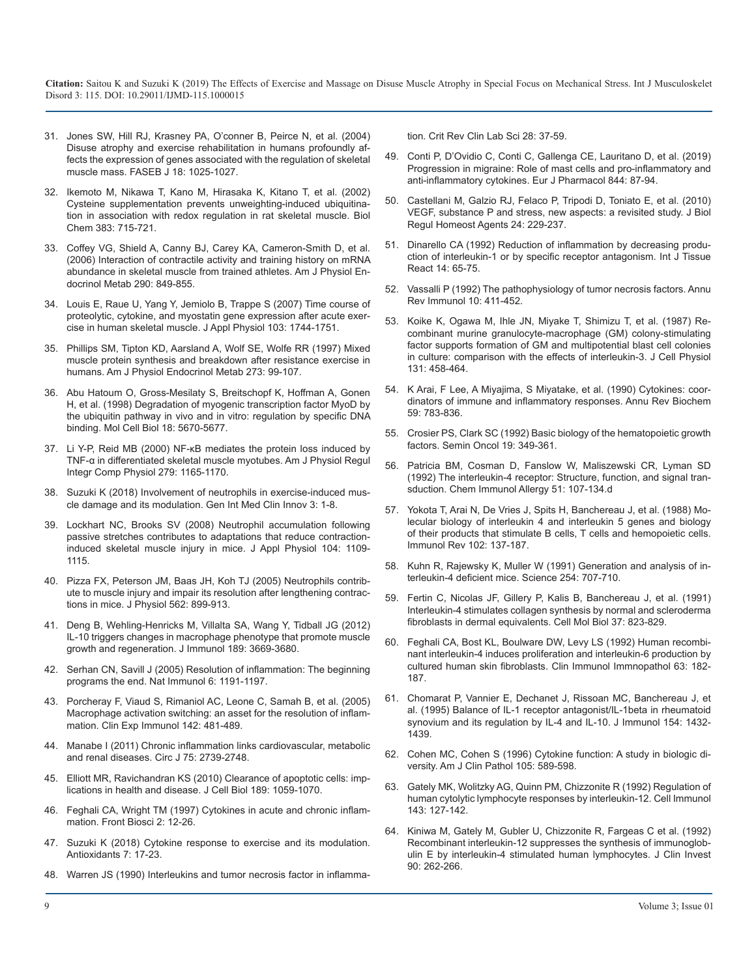- 31. [Jones SW, Hill RJ, Krasney PA, O'conner B, Peirce N, et al. \(2004\)](https://www.ncbi.nlm.nih.gov/pubmed/15084522) [Disuse atrophy and exercise rehabilitation in humans profoundly af](https://www.ncbi.nlm.nih.gov/pubmed/15084522)[fects the expression of genes associated with the regulation of skeletal](https://www.ncbi.nlm.nih.gov/pubmed/15084522)  [muscle mass. FASEB J 18: 1025-1027.](https://www.ncbi.nlm.nih.gov/pubmed/15084522)
- 32. [Ikemoto M, Nikawa T, Kano M, Hirasaka K, Kitano T, et al. \(2002\)](https://www.ncbi.nlm.nih.gov/pubmed/12033461)  [Cysteine supplementation prevents unweighting-induced ubiquitina](https://www.ncbi.nlm.nih.gov/pubmed/12033461)[tion in association with redox regulation in rat skeletal muscle. Biol](https://www.ncbi.nlm.nih.gov/pubmed/12033461)  [Chem 383: 715-721.](https://www.ncbi.nlm.nih.gov/pubmed/12033461)
- 33. [Coffey VG, Shield A, Canny BJ, Carey KA, Cameron-Smith D, et al.](https://www.ncbi.nlm.nih.gov/pubmed/16338907)  [\(2006\) Interaction of contractile activity and training history on mRNA](https://www.ncbi.nlm.nih.gov/pubmed/16338907)  [abundance in skeletal muscle from trained athletes. Am J Physiol En](https://www.ncbi.nlm.nih.gov/pubmed/16338907)[docrinol Metab 290: 849-855.](https://www.ncbi.nlm.nih.gov/pubmed/16338907)
- 34. [Louis E, Raue U, Yang Y, Jemiolo B, Trappe S \(2007\) Time course of](https://www.ncbi.nlm.nih.gov/pubmed/17823296) [proteolytic, cytokine, and myostatin gene expression after acute exer](https://www.ncbi.nlm.nih.gov/pubmed/17823296)[cise in human skeletal muscle. J Appl Physiol 103: 1744-1751.](https://www.ncbi.nlm.nih.gov/pubmed/17823296)
- 35. [Phillips SM, Tipton KD, Aarsland A, Wolf SE, Wolfe RR \(1997\) Mixed](https://www.ncbi.nlm.nih.gov/pubmed/9252485) [muscle protein synthesis and breakdown after resistance exercise in](https://www.ncbi.nlm.nih.gov/pubmed/9252485)  [humans. Am J Physiol Endocrinol Metab 273: 99-107.](https://www.ncbi.nlm.nih.gov/pubmed/9252485)
- 36. [Abu Hatoum O, Gross-Mesilaty S, Breitschopf K, Hoffman A, Gonen](https://www.ncbi.nlm.nih.gov/pubmed/9742084)  [H, et al. \(1998\) Degradation of myogenic transcription factor MyoD by](https://www.ncbi.nlm.nih.gov/pubmed/9742084)  [the ubiquitin pathway in vivo and in vitro: regulation by specific DNA](https://www.ncbi.nlm.nih.gov/pubmed/9742084) [binding. Mol Cell Biol 18: 5670-5677.](https://www.ncbi.nlm.nih.gov/pubmed/9742084)
- 37. [Li Y-P, Reid MB \(2000\) NF-κB mediates the protein loss induced by](https://www.ncbi.nlm.nih.gov/pubmed/11003979) [TNF-α in differentiated skeletal muscle myotubes. Am J Physiol Regul](https://www.ncbi.nlm.nih.gov/pubmed/11003979)  [Integr Comp Physiol 279: 1165-1170.](https://www.ncbi.nlm.nih.gov/pubmed/11003979)
- 38. [Suzuki K \(2018\) Involvement of neutrophils in exercise-induced mus](https://www.researchgate.net/publication/330420124_Involvement_of_neutrophils_in_exercise-induced_muscle_damage_and_its_modulation)[cle damage and its modulation. Gen Int Med Clin Innov 3: 1-8.](https://www.researchgate.net/publication/330420124_Involvement_of_neutrophils_in_exercise-induced_muscle_damage_and_its_modulation)
- 39. [Lockhart NC, Brooks SV \(2008\) Neutrophil accumulation following](https://www.ncbi.nlm.nih.gov/pubmed/18276901)  [passive stretches contributes to adaptations that reduce contraction](https://www.ncbi.nlm.nih.gov/pubmed/18276901)[induced skeletal muscle injury in mice. J Appl Physiol 104: 1109-](https://www.ncbi.nlm.nih.gov/pubmed/18276901) [1115.](https://www.ncbi.nlm.nih.gov/pubmed/18276901)
- 40. [Pizza FX, Peterson JM, Baas JH, Koh TJ \(2005\) Neutrophils contrib](https://www.ncbi.nlm.nih.gov/pubmed/15550464)[ute to muscle injury and impair its resolution after lengthening contrac](https://www.ncbi.nlm.nih.gov/pubmed/15550464)[tions in mice. J Physiol 562: 899-913.](https://www.ncbi.nlm.nih.gov/pubmed/15550464)
- 41. [Deng B, Wehling-Henricks M, Villalta SA, Wang Y, Tidball JG \(2012\)](https://www.ncbi.nlm.nih.gov/pubmed/22933625)  [IL-10 triggers changes in macrophage phenotype that promote muscle](https://www.ncbi.nlm.nih.gov/pubmed/22933625)  [growth and regeneration. J Immunol 189: 3669-3680.](https://www.ncbi.nlm.nih.gov/pubmed/22933625)
- 42. [Serhan CN, Savill J \(2005\) Resolution of inflammation: The beginning](https://www.ncbi.nlm.nih.gov/pubmed/16369558)  [programs the end. Nat Immunol 6: 1191-1197.](https://www.ncbi.nlm.nih.gov/pubmed/16369558)
- 43. [Porcheray F, Viaud S, Rimaniol AC, Leone C, Samah B, et al. \(2005\)](https://www.ncbi.nlm.nih.gov/pmc/articles/PMC1809537/) [Macrophage activation switching: an asset for the resolution of inflam](https://www.ncbi.nlm.nih.gov/pmc/articles/PMC1809537/)[mation. Clin Exp Immunol 142: 481-489.](https://www.ncbi.nlm.nih.gov/pmc/articles/PMC1809537/)
- 44. [Manabe I \(2011\) Chronic inflammation links cardiovascular, metabolic](https://www.ncbi.nlm.nih.gov/pubmed/22067929)  [and renal diseases. Circ J 75: 2739-2748.](https://www.ncbi.nlm.nih.gov/pubmed/22067929)
- 45. [Elliott MR, Ravichandran KS \(2010\) Clearance of apoptotic cells: imp](https://www.ncbi.nlm.nih.gov/pubmed/20584912)[lications in health and disease. J Cell Biol 189: 1059-1070.](https://www.ncbi.nlm.nih.gov/pubmed/20584912)
- 46. [Feghali CA, Wright TM \(1997\) Cytokines in acute and chronic inflam](https://www.ncbi.nlm.nih.gov/pubmed/9159205)[mation. Front Biosci 2: 12-26.](https://www.ncbi.nlm.nih.gov/pubmed/9159205)
- 47. [Suzuki K \(2018\) Cytokine response to exercise and its modulation.](https://www.ncbi.nlm.nih.gov/pmc/articles/PMC5789327/) [Antioxidants 7: 17-23.](https://www.ncbi.nlm.nih.gov/pmc/articles/PMC5789327/)
- 48. [Warren JS \(1990\) Interleukins and tumor necrosis factor in inflamma](https://www.ncbi.nlm.nih.gov/pubmed/2121159)-

tion. Crit Rev Clin Lab Sci 28: 37-59.

- 49. [Conti P, D'Ovidio C, Conti C, Gallenga CE, Lauritano D, et al. \(2019\)](https://www.sciencedirect.com/science/article/pii/S0014299918307064)  [Progression in migraine: Role of mast cells and pro-inflammatory and](https://www.sciencedirect.com/science/article/pii/S0014299918307064) [anti-inflammatory cytokines. Eur J Pharmacol 844: 87-94](https://www.sciencedirect.com/science/article/pii/S0014299918307064).
- 50. [Castellani M, Galzio RJ, Felaco P, Tripodi D, Toniato E, et al. \(2010\)](https://www.ncbi.nlm.nih.gov/pubmed/20846471) [VEGF, substance P and stress, new aspects: a revisited study. J Biol](https://www.ncbi.nlm.nih.gov/pubmed/20846471) [Regul Homeost Agents 24: 229-237.](https://www.ncbi.nlm.nih.gov/pubmed/20846471)
- 51. [Dinarello CA \(1992\) Reduction of inflammation by decreasing produ](http://europepmc.org/abstract/med/1399323)[ction of interleukin-1 or by specific receptor antagonism. Int J Tissue](http://europepmc.org/abstract/med/1399323)  [React 14: 65-75.](http://europepmc.org/abstract/med/1399323)
- 52. [Vassalli P \(1992\) The pathophysiology of tumor necrosis factors. Annu](https://www.ncbi.nlm.nih.gov/pubmed/1590993)  Rev Immunol 10: 411-452.
- 53. [Koike K, Ogawa M, Ihle JN, Miyake T, Shimizu T, et al. \(1987\) Re](https://www.ncbi.nlm.nih.gov/pubmed/3298286)[combinant murine granulocyte-macrophage \(GM\) colony-stimulating](https://www.ncbi.nlm.nih.gov/pubmed/3298286)  [factor supports formation of GM and multipotential blast cell colonies](https://www.ncbi.nlm.nih.gov/pubmed/3298286)  [in culture: comparison with the effects of interleukin-3. J Cell Physiol](https://www.ncbi.nlm.nih.gov/pubmed/3298286)  [131: 458-464.](https://www.ncbi.nlm.nih.gov/pubmed/3298286)
- 54. [K Arai, F Lee, A Miyajima, S Miyatake, et al. \(1990\) Cytokines: coor](https://www.ncbi.nlm.nih.gov/pubmed/1695833)[dinators of immune and inflammatory responses. Annu Rev Biochem](https://www.ncbi.nlm.nih.gov/pubmed/1695833)  [59: 783-836.](https://www.ncbi.nlm.nih.gov/pubmed/1695833)
- 55. [Crosier PS, Clark SC \(1992\) Basic biology of the hematopoietic growth](https://www.ncbi.nlm.nih.gov/pubmed/1380728)  factors. Semin Oncol 19: 349-361.
- 56. [Patricia BM, Cosman D, Fanslow W, Maliszewski CR, Lyman SD](https://www.ncbi.nlm.nih.gov/pubmed/1567539) [\(1992\) The interleukin-4 receptor: Structure, function, and signal tran](https://www.ncbi.nlm.nih.gov/pubmed/1567539)[sduction. Chem Immunol Allergy 51: 107-134.d](https://www.ncbi.nlm.nih.gov/pubmed/1567539)
- 57. [Yokota T, Arai N, De Vries J, Spits H, Banchereau J, et al. \(1988\) Mo](https://www.ncbi.nlm.nih.gov/pubmed/3284813)[lecular biology of interleukin 4 and interleukin 5 genes and biology](https://www.ncbi.nlm.nih.gov/pubmed/3284813)  [of their products that stimulate B cells, T cells and hemopoietic cells.](https://www.ncbi.nlm.nih.gov/pubmed/3284813)  [Immunol Rev 102: 137-187.](https://www.ncbi.nlm.nih.gov/pubmed/3284813)
- 58. [Kuhn R, Rajewsky K, Muller W \(1991\) Generation and analysis of in](https://www.ncbi.nlm.nih.gov/pubmed/1948049)terleukin-4 deficient mice. Science 254: 707-710.
- 59. [Fertin C, Nicolas JF, Gillery P, Kalis B, Banchereau J, et al. \(1991\)](https://www.ncbi.nlm.nih.gov/pubmed/1807791)  [Interleukin-4 stimulates collagen synthesis by normal and scleroderma](https://www.ncbi.nlm.nih.gov/pubmed/1807791)  [fibroblasts in dermal equivalents. Cell Mol Biol 37: 823-829](https://www.ncbi.nlm.nih.gov/pubmed/1807791).
- 60. [Feghali CA, Bost KL, Boulware DW, Levy LS \(1992\) Human recombi](https://www.sciencedirect.com/science/article/pii/009012299290011C)[nant interleukin-4 induces proliferation and interleukin-6 production by](https://www.sciencedirect.com/science/article/pii/009012299290011C)  [cultured human skin fibroblasts. Clin Immunol Immnopathol 63: 182-](https://www.sciencedirect.com/science/article/pii/009012299290011C) [187.](https://www.sciencedirect.com/science/article/pii/009012299290011C)
- 61. [Chomarat P, Vannier E, Dechanet J, Rissoan MC, Banchereau J, et](https://www.ncbi.nlm.nih.gov/pubmed/7822808)  [al. \(1995\) Balance of IL-1 receptor antagonist/IL-1beta in rheumatoid](https://www.ncbi.nlm.nih.gov/pubmed/7822808)  [synovium and its regulation by IL-4 and IL-10. J Immunol 154: 1432-](https://www.ncbi.nlm.nih.gov/pubmed/7822808) [1439.](https://www.ncbi.nlm.nih.gov/pubmed/7822808)
- 62. [Cohen MC, Cohen S \(1996\) Cytokine function: A study in biologic di](https://www.ncbi.nlm.nih.gov/pubmed/8623768)[versity. Am J Clin Pathol 105: 589-598.](https://www.ncbi.nlm.nih.gov/pubmed/8623768)
- 63. [Gately MK, Wolitzky AG, Quinn PM, Chizzonite R \(1992\) Regulation of](https://www.ncbi.nlm.nih.gov/pubmed/1352483) [human cytolytic lymphocyte responses by interleukin-12. Cell Immunol](https://www.ncbi.nlm.nih.gov/pubmed/1352483)  [143: 127-142.](https://www.ncbi.nlm.nih.gov/pubmed/1352483)
- 64. [Kiniwa M, Gately M, Gubler U, Chizzonite R, Fargeas C et al. \(1992\)](https://www.ncbi.nlm.nih.gov/pubmed/1353081)  Recombinant interleukin-12 suppresses the synthesis of immunoglob[ulin E by interleukin-4 stimulated human lymphocytes. J Clin Invest](https://www.ncbi.nlm.nih.gov/pubmed/1353081)  [90: 262-266.](https://www.ncbi.nlm.nih.gov/pubmed/1353081)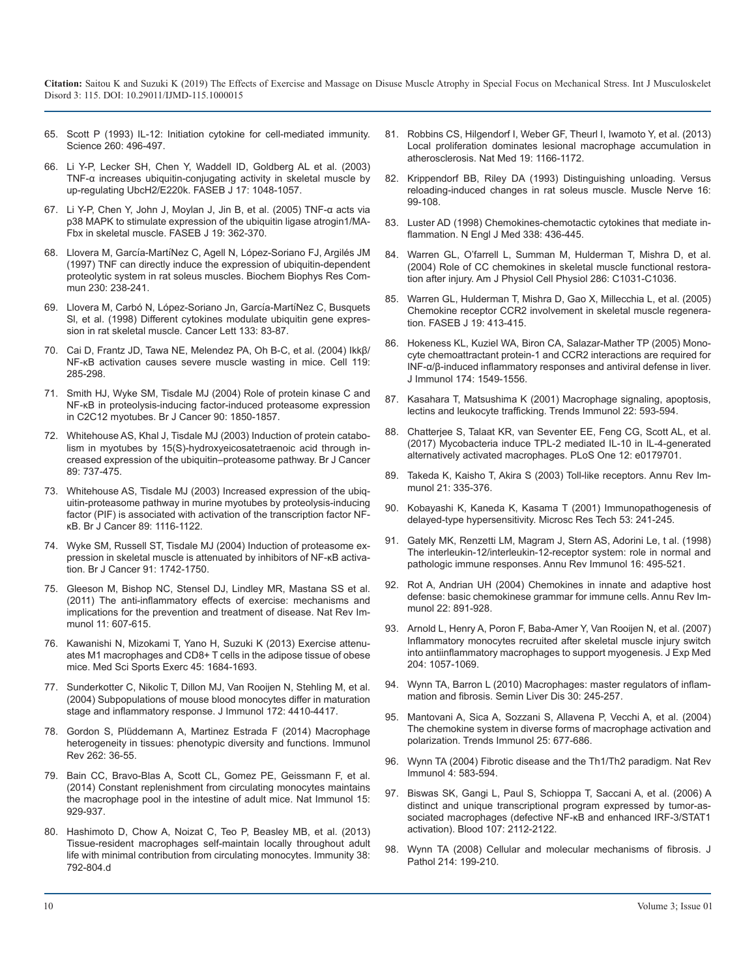- 65. [Scott P \(1993\) IL-12: Initiation cytokine for cell-mediated immunity.](https://www.ncbi.nlm.nih.gov/pubmed/8097337)  Science 260: 496-497.
- 66. [Li Y-P, Lecker SH, Chen Y, Waddell ID, Goldberg AL et al. \(2003\)](https://www.ncbi.nlm.nih.gov/pubmed/12773487)  TNF-α increases ubiquitin-conjugating activity in skeletal muscle by [up-regulating UbcH2/E220k. FASEB J 17: 1048-1057](https://www.ncbi.nlm.nih.gov/pubmed/12773487).
- 67. [Li Y-P, Chen Y, John J, Moylan J, Jin B, et al. \(2005\) TNF-α acts via](https://www.ncbi.nlm.nih.gov/pubmed/15746179)  p38 MAPK to stimulate expression of the ubiquitin ligase atrogin1/MA-[Fbx in skeletal muscle. FASEB J 19: 362-370.](https://www.ncbi.nlm.nih.gov/pubmed/15746179)
- 68. Llovera M, García-MartíNez C, Agell N, López-Soriano FJ, Argilés JM [\(1997\) TNF can directly induce the expression of ubiquitin-dependent](https://www.ncbi.nlm.nih.gov/pubmed/9016756)  [proteolytic system in rat soleus muscles. Biochem Biophys Res Com](https://www.ncbi.nlm.nih.gov/pubmed/9016756)[mun 230: 238-241.](https://www.ncbi.nlm.nih.gov/pubmed/9016756)
- 69. Llovera M, Carbó N, López-Soriano Jn, García-MartíNez C, Busquets [Sl, et al. \(1998\) Different cytokines modulate ubiquitin gene expres](https://www.ncbi.nlm.nih.gov/pubmed/9929164)[sion in rat skeletal muscle. Cancer Lett 133: 83-87.](https://www.ncbi.nlm.nih.gov/pubmed/9929164)
- 70. [Cai D, Frantz JD, Tawa NE, Melendez PA, Oh B-C, et al. \(2004\) Ikkβ/](https://www.ncbi.nlm.nih.gov/pubmed/15479644)  NF-κB activation causes severe muscle wasting in mice. Cell 119: [285-298.](https://www.ncbi.nlm.nih.gov/pubmed/15479644)
- 71. [Smith HJ, Wyke SM, Tisdale MJ \(2004\) Role of protein kinase C and](https://www.ncbi.nlm.nih.gov/pmc/articles/PMC2409757/)  NF-κB in proteolysis-inducing factor-induced proteasome expression [in C2C12 myotubes. Br J Cancer 90: 1850-1857.](https://www.ncbi.nlm.nih.gov/pmc/articles/PMC2409757/)
- 72. Whitehouse AS, Khal J, Tisdale MJ (2003) Induction of protein catabolism in myotubes by 15(S)-hydroxyeicosatetraenoic acid through increased expression of the ubiquitin–proteasome pathway. Br J Cancer 89: 737-475.
- 73. [Whitehouse AS, Tisdale MJ \(2003\) Increased expression of the ubiq](https://www.ncbi.nlm.nih.gov/pubmed/12966435)uitin-proteasome pathway in murine myotubes by proteolysis-inducing [factor \(PIF\) is associated with activation of the transcription factor NF](https://www.ncbi.nlm.nih.gov/pubmed/12966435)[κB. Br J Cancer 89: 1116-1122](https://www.ncbi.nlm.nih.gov/pubmed/12966435).
- 74. [Wyke SM, Russell ST, Tisdale MJ \(2004\) Induction of proteasome ex](https://www.ncbi.nlm.nih.gov/pubmed/15477867)pression in skeletal muscle is attenuated by inhibitors of NF-κB activa[tion. Br J Cancer 91: 1742-1750.](https://www.ncbi.nlm.nih.gov/pubmed/15477867)
- 75. [Gleeson M, Bishop NC, Stensel DJ, Lindley MR, Mastana SS et al.](https://www.ncbi.nlm.nih.gov/pubmed/21818123)  (2011) The anti-inflammatory effects of exercise: mechanisms and [implications for the prevention and treatment of disease. Nat Rev Im](https://www.ncbi.nlm.nih.gov/pubmed/21818123)[munol 11: 607-615.](https://www.ncbi.nlm.nih.gov/pubmed/21818123)
- 76. [Kawanishi N, Mizokami T, Yano H, Suzuki K \(2013\) Exercise attenu](https://www.ncbi.nlm.nih.gov/pubmed/23954991)ates M1 macrophages and CD8+ T cells in the adipose tissue of obese [mice. Med Sci Sports Exerc 45: 1684-1693.](https://www.ncbi.nlm.nih.gov/pubmed/23954991)
- 77. [Sunderkotter C, Nikolic T, Dillon MJ, Van Rooijen N, Stehling M, et al.](https://www.ncbi.nlm.nih.gov/pubmed/15034056)  (2004) Subpopulations of mouse blood monocytes differ in maturation [stage and inflammatory response. J Immunol 172: 4410-4417](https://www.ncbi.nlm.nih.gov/pubmed/15034056).
- 78. [Gordon S, Plüddemann A, Martinez Estrada F \(2014\) Macrophage](https://www.ncbi.nlm.nih.gov/pubmed/25319326)  heterogeneity in tissues: phenotypic diversity and functions. Immunol [Rev 262: 36-55.](https://www.ncbi.nlm.nih.gov/pubmed/25319326)
- 79. [Bain CC, Bravo-Blas A, Scott CL, Gomez PE, Geissmann F, et al.](https://www.ncbi.nlm.nih.gov/pubmed/25151491)  (2014) Constant replenishment from circulating monocytes maintains [the macrophage pool in the intestine of adult mice. Nat Immunol 15:](https://www.ncbi.nlm.nih.gov/pubmed/25151491) [929-937.](https://www.ncbi.nlm.nih.gov/pubmed/25151491)
- 80. [Hashimoto D, Chow A, Noizat C, Teo P, Beasley MB, et al. \(2013\)](https://www.ncbi.nlm.nih.gov/pubmed/23601688)  Tissue-resident macrophages self-maintain locally throughout adult [life with minimal contribution from circulating monocytes. Immunity 38:](https://www.ncbi.nlm.nih.gov/pubmed/23601688)  [792-804.d](https://www.ncbi.nlm.nih.gov/pubmed/23601688)
- 81. [Robbins CS, Hilgendorf I, Weber GF, Theurl I, Iwamoto Y, et al. \(2013\)](https://www.ncbi.nlm.nih.gov/pubmed/23933982)  [Local proliferation dominates lesional macrophage accumulation in](https://www.ncbi.nlm.nih.gov/pubmed/8097337)  [atherosclerosis. Nat Med 19: 1166-1172.](https://www.ncbi.nlm.nih.gov/pubmed/23933982)
- 82. [Krippendorf BB, Riley DA \(1993\) Distinguishing unloading. Versus](https://www.ncbi.nlm.nih.gov/pubmed/12773487)  reloading-induced changes in rat soleus muscle. Muscle Nerve 16: [99-108.](https://www.ncbi.nlm.nih.gov/pubmed/8423838)
- 83. [Luster AD \(1998\) Chemokines-chemotactic cytokines that mediate in](https://www.ncbi.nlm.nih.gov/pubmed/9459648)flammation. N Engl J Med 338: 436-445.
- 84. [Warren GL, O'farrell L, Summan M, Hulderman T, Mishra D, et al.](https://www.ncbi.nlm.nih.gov/pubmed/15075201)  (2004) Role of CC chemokines in skeletal muscle functional restora[tion after injury. Am J Physiol Cell Physiol 286: C1031-C1036.](https://www.ncbi.nlm.nih.gov/pubmed/15075201)
- 85. [Warren GL, Hulderman T, Mishra D, Gao X, Millecchia L, et al. \(2005\)](https://www.ncbi.nlm.nih.gov/pubmed/15601671)  Chemokine receptor CCR2 involvement in skeletal muscle regenera[tion. FASEB J 19: 413-415.](https://www.ncbi.nlm.nih.gov/pubmed/15601671)
- 86. [Hokeness KL, Kuziel WA, Biron CA, Salazar-Mather TP \(2005\) Mono](https://www.ncbi.nlm.nih.gov/pubmed/15661915)[cyte chemoattractant protein-1 and CCR2 interactions are required for](https://www.ncbi.nlm.nih.gov/pubmed/15479644) [INF-α/β-induced inflammatory responses and antiviral defense in liver.](https://www.ncbi.nlm.nih.gov/pubmed/15661915)  [J Immunol 174: 1549-1556.](https://www.ncbi.nlm.nih.gov/pubmed/15661915)
- 87. [Kasahara T, Matsushima K \(2001\) Macrophage signaling, apoptosis,](https://www.ncbi.nlm.nih.gov/pubmed/11698201) lectins and leukocyte trafficking. Trends Immunol 22: 593-594.
- 88. [Chatterjee S, Talaat KR, van Seventer EE, Feng CG, Scott AL, et al.](https://journals.plos.org/plosone/article?id=10.1371/journal.pone.0179701)  (2017) Mycobacteria induce TPL-2 mediated IL-10 in IL-4-generated [alternatively activated macrophages. PLoS One 12: e0179701.](https://journals.plos.org/plosone/article?id=10.1371/journal.pone.0179701)
- 89. [Takeda K, Kaisho T, Akira S \(2003\) Toll-like receptors. Annu Rev Im](https://www.ncbi.nlm.nih.gov/pubmed/12524386)munol 21: 335-376.
- 90. [Kobayashi K, Kaneda K, Kasama T \(2001\) Immunopathogenesis of](https://www.ncbi.nlm.nih.gov/pubmed/11340669) delayed-type hypersensitivity. Microsc Res Tech 53: 241-245.
- 91. [Gately MK, Renzetti LM, Magram J, Stern AS, Adorini Le, t al. \(1998\)](https://www.ncbi.nlm.nih.gov/pubmed/9597139) [The interleukin-12/interleukin-12-receptor system: role in normal and](https://www.ncbi.nlm.nih.gov/pubmed/15477867) [pathologic immune responses. Annu Rev Immunol 16: 495-521.](https://www.ncbi.nlm.nih.gov/pubmed/9597139)
- 92. [Rot A, Andrian UH \(2004\) Chemokines in innate and adaptive host](https://www.ncbi.nlm.nih.gov/pubmed/15032599)  [defense: basic chemokinese grammar for immune cells. Annu Rev Im](https://www.ncbi.nlm.nih.gov/pubmed/21818123)[munol 22: 891-928.](https://www.ncbi.nlm.nih.gov/pubmed/15032599)
- 93. [Arnold L, Henry A, Poron F, Baba-Amer Y, Van Rooijen N, et al. \(2007\)](https://www.ncbi.nlm.nih.gov/pubmed/17485518)  Inflammatory monocytes recruited after skeletal muscle injury switch [into antiinflammatory macrophages to support myogenesis. J Exp Med](https://www.ncbi.nlm.nih.gov/pubmed/17485518) [204: 1057-1069.](https://www.ncbi.nlm.nih.gov/pubmed/17485518)
- 94. [Wynn TA, Barron L \(2010\) Macrophages: master regulators of inflam](https://www.ncbi.nlm.nih.gov/pubmed/20665377)[mation and fibrosis. Semin Liver Dis 30: 245-257](https://www.ncbi.nlm.nih.gov/pubmed/15034056).
- 95. [Mantovani A, Sica A, Sozzani S, Allavena P, Vecchi A, et al. \(2004\)](https://www.ncbi.nlm.nih.gov/pubmed/15530839)  The chemokine system in diverse forms of macrophage activation and [polarization. Trends Immunol 25: 677-686.](https://www.ncbi.nlm.nih.gov/pubmed/15530839)
- 96. [Wynn TA \(2004\) Fibrotic disease and the Th1/Th2 paradigm. Nat Rev](https://www.ncbi.nlm.nih.gov/pubmed/15286725)  Immunol 4: 583-594[.](https://www.ncbi.nlm.nih.gov/pubmed/15286725)
- 97. [Biswas SK, Gangi L, Paul S, Schioppa T, Saccani A, et al. \(2006\) A](https://www.ncbi.nlm.nih.gov/pubmed/16269622) distinct and unique transcriptional program expressed by tumor-as[sociated macrophages \(defective NF-κB and enhanced IRF-3/STAT1](https://www.ncbi.nlm.nih.gov/pubmed/16269622)  [activation\). Blood 107: 2112-2122.](https://www.ncbi.nlm.nih.gov/pubmed/16269622)
- 98. [Wynn TA \(2008\) Cellular and molecular mechanisms of fibrosis. J](https://www.ncbi.nlm.nih.gov/pubmed/18161745) Pathol 214: 199-210.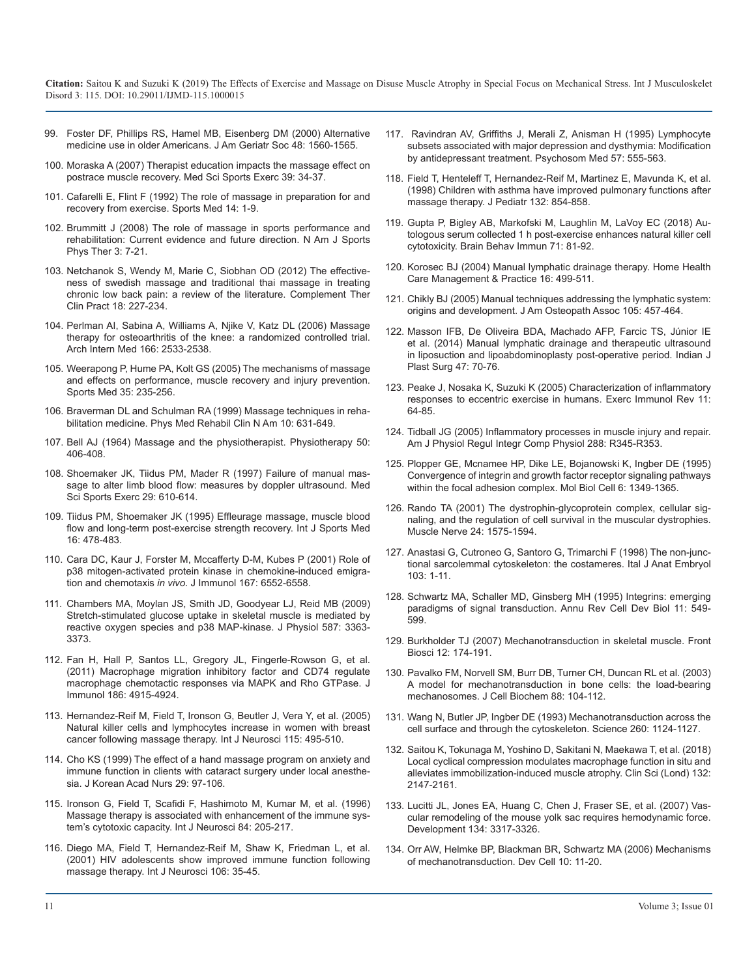- 99. [Foster DF, Phillips RS, Hamel MB, Eisenberg DM \(2000\) Alternative](https://www.ncbi.nlm.nih.gov/pubmed/11129743)  [medicine use in older Americans. J Am Geriatr Soc 48: 1560-1565.](https://www.ncbi.nlm.nih.gov/pubmed/11129743)
- 100. [Moraska A \(2007\) Therapist education impacts the massage effect on](https://www.ncbi.nlm.nih.gov/pubmed/17218881)  [postrace muscle recovery. Med Sci Sports Exerc 39: 34-37.](https://www.ncbi.nlm.nih.gov/pubmed/17218881)
- 101. [Cafarelli E, Flint F \(1992\) The role of massage in preparation for and](https://link.springer.com/article/10.2165%2F00007256-199214010-00001)  [recovery from exercise. Sports Med 14: 1-9.](https://link.springer.com/article/10.2165%2F00007256-199214010-00001)
- 102. [Brummitt J \(2008\) The role of massage in sports performance and](https://www.ncbi.nlm.nih.gov/pmc/articles/PMC2953308/)  [rehabilitation: Current evidence and future direction. N Am J Sports](https://www.ncbi.nlm.nih.gov/pmc/articles/PMC2953308/) [Phys Ther 3: 7-21.](https://www.ncbi.nlm.nih.gov/pmc/articles/PMC2953308/)
- 103. [Netchanok S, Wendy M, Marie C, Siobhan OD \(2012\) The effective](https://www.ncbi.nlm.nih.gov/pubmed/23059437)[ness of swedish massage and traditional thai massage in treating](https://www.ncbi.nlm.nih.gov/pubmed/23059437) [chronic low back pain: a review of the literature. Complement Ther](https://www.ncbi.nlm.nih.gov/pubmed/23059437)  [Clin Pract 18: 227-234.](https://www.ncbi.nlm.nih.gov/pubmed/23059437)
- 104. [Perlman AI, Sabina A, Williams A, Njike V, Katz DL \(2006\) Massage](https://www.ncbi.nlm.nih.gov/pubmed/17159021)  [therapy for osteoarthritis of the knee: a randomized controlled trial.](https://www.ncbi.nlm.nih.gov/pubmed/17159021)  [Arch Intern Med 166: 2533-2538.](https://www.ncbi.nlm.nih.gov/pubmed/17159021)
- 105. [Weerapong P, Hume PA, Kolt GS \(2005\) The mechanisms of massage](https://www.ncbi.nlm.nih.gov/pubmed/15730338)  [and effects on performance, muscle recovery and injury prevention.](https://www.ncbi.nlm.nih.gov/pubmed/15730338)  [Sports Med 35: 235-256.](https://www.ncbi.nlm.nih.gov/pubmed/15730338)
- 106. [Braverman DL and Schulman RA \(1999\) Massage techniques in reha](https://www.ncbi.nlm.nih.gov/pubmed/10516982)[bilitation medicine. Phys Med Rehabil Clin N Am 10: 631-649.](https://www.ncbi.nlm.nih.gov/pubmed/10516982)
- 107. [Bell AJ \(1964\) Massage and the physiotherapist. Physiotherapy 50:](https://www.ncbi.nlm.nih.gov/pubmed/14226703) [406-408.](https://www.ncbi.nlm.nih.gov/pubmed/14226703)
- 108. [Shoemaker JK, Tiidus PM, Mader R \(1997\) Failure of manual mas](https://www.ncbi.nlm.nih.gov/pubmed/9140896)[sage to alter limb blood flow: measures by doppler ultrasound. Med](https://www.ncbi.nlm.nih.gov/pubmed/9140896)  [Sci Sports Exerc 29: 610-614.](https://www.ncbi.nlm.nih.gov/pubmed/9140896)
- 109. [Tiidus PM, Shoemaker JK \(1995\) Effleurage massage, muscle blood](https://www.ncbi.nlm.nih.gov/pubmed/8550258)  [flow and long-term post-exercise strength recovery. Int J Sports Med](https://www.ncbi.nlm.nih.gov/pubmed/8550258)  [16: 478-483.](https://www.ncbi.nlm.nih.gov/pubmed/8550258)
- 110. [Cara DC, Kaur J, Forster M, Mccafferty D-M, Kubes P \(2001\) Role of](https://www.ncbi.nlm.nih.gov/pubmed/11714824) [p38 mitogen-activated protein kinase in chemokine-induced emigra](https://www.ncbi.nlm.nih.gov/pubmed/11714824)tion and chemotaxis *in vivo*[. J Immunol 167: 6552-6558.](https://www.ncbi.nlm.nih.gov/pubmed/11714824)
- 111. [Chambers MA, Moylan JS, Smith JD, Goodyear LJ, Reid MB \(2009\)](https://www.ncbi.nlm.nih.gov/pubmed/19403598)  [Stretch-stimulated glucose uptake in skeletal muscle is mediated by](https://www.ncbi.nlm.nih.gov/pubmed/19403598)  [reactive oxygen species and p38 MAP-kinase. J Physiol 587: 3363-](https://www.ncbi.nlm.nih.gov/pubmed/19403598) [3373.](https://www.ncbi.nlm.nih.gov/pubmed/19403598)
- 112. [Fan H, Hall P, Santos LL, Gregory JL, Fingerle-Rowson G, et al.](https://www.ncbi.nlm.nih.gov/pubmed/21411731) [\(2011\) Macrophage migration inhibitory factor and CD74 regulate](https://www.ncbi.nlm.nih.gov/pubmed/21411731)  [macrophage chemotactic responses via MAPK and Rho GTPase. J](https://www.ncbi.nlm.nih.gov/pubmed/21411731) [Immunol 186: 4915-4924.](https://www.ncbi.nlm.nih.gov/pubmed/21411731)
- 113. [Hernandez-Reif M, Field T, Ironson G, Beutler J, Vera Y, et al. \(2005\)](https://www.ncbi.nlm.nih.gov/pubmed/15809216)  [Natural killer cells and lymphocytes increase in women with breast](https://www.ncbi.nlm.nih.gov/pubmed/15809216) [cancer following massage therapy. Int J Neurosci 115: 495-510.](https://www.ncbi.nlm.nih.gov/pubmed/15809216)
- 114. [Cho KS \(1999\) The effect of a hand massage program on anxiety and](https://synapse.koreamed.org/search.php?where=aview&id=10.4040/jkan.1999.29.1.97&code=1006JKAN&vmode=PUBREADER) [immune function in clients with cataract surgery under local anesthe](https://synapse.koreamed.org/search.php?where=aview&id=10.4040/jkan.1999.29.1.97&code=1006JKAN&vmode=PUBREADER)[sia. J Korean Acad Nurs 29: 97-106.](https://synapse.koreamed.org/search.php?where=aview&id=10.4040/jkan.1999.29.1.97&code=1006JKAN&vmode=PUBREADER)
- 115. [Ironson G, Field T, Scafidi F, Hashimoto M, Kumar M, et al. \(1996\)](https://www.ncbi.nlm.nih.gov/pubmed/8707483)  [Massage therapy is associated with enhancement of the immune sys](https://www.ncbi.nlm.nih.gov/pubmed/8707483)[tem's cytotoxic capacity. Int J Neurosci 84: 205-217.](https://www.ncbi.nlm.nih.gov/pubmed/8707483)
- 116. [Diego MA, Field T, Hernandez-Reif M, Shaw K, Friedman L, et al.](https://www.ncbi.nlm.nih.gov/pubmed/11264907)  [\(2001\) HIV adolescents show improved immune function following](https://www.ncbi.nlm.nih.gov/pubmed/11264907) [massage therapy. Int J Neurosci 106: 35-45.](https://www.ncbi.nlm.nih.gov/pubmed/11264907)
- 117. [Ravindran AV, Griffiths J, Merali Z, Anisman H \(1995\) Lymphocyte](https://www.ncbi.nlm.nih.gov/pubmed/8600482)  [subsets associated with major depression and dysthymia: Modification](https://www.ncbi.nlm.nih.gov/pubmed/8600482)  [by antidepressant treatment. Psychosom Med 57: 555-563.](https://www.ncbi.nlm.nih.gov/pubmed/8600482)
- 118. [Field T, Henteleff T, Hernandez-Reif M, Martinez E, Mavunda K, et al.](https://www.ncbi.nlm.nih.gov/pubmed/9602199) [\(1998\) Children with asthma have improved pulmonary functions after](https://www.ncbi.nlm.nih.gov/pubmed/9602199) [massage therapy. J Pediatr 132: 854-858.](https://www.ncbi.nlm.nih.gov/pubmed/9602199)
- 119. [Gupta P, Bigley AB, Markofski M, Laughlin M, LaVoy EC \(2018\) Au](https://www.ncbi.nlm.nih.gov/pubmed/29656052)tologous serum collected 1 h post-exercise enhances natural killer cell [cytotoxicity. Brain Behav Immun 71: 81-92.](https://www.ncbi.nlm.nih.gov/pubmed/29656052)
- 120. [Korosec BJ \(2004\) Manual lymphatic drainage therapy. Home Health](https://journals.sagepub.com/doi/abs/10.1177/1084822304264618)  Care Management & Practice 16: 499-511.
- 121. [Chikly BJ \(2005\) Manual techniques addressing the lymphatic system:](https://www.ncbi.nlm.nih.gov/pubmed/16314678)  [origins and development. J Am Osteopath Assoc 105: 457-464.](https://www.ncbi.nlm.nih.gov/pubmed/16314678)
- 122. [Masson IFB, De Oliveira BDA, Machado AFP, Farcic TS, Júnior IE](https://www.ncbi.nlm.nih.gov/pubmed/24987208) [et al. \(2014\) Manual lymphatic drainage and therapeutic ultrasound](https://www.ncbi.nlm.nih.gov/pubmed/24987208)  [in liposuction and lipoabdominoplasty post-operative period. Indian J](https://www.ncbi.nlm.nih.gov/pubmed/24987208)  [Plast Surg 47: 70-76.](https://www.ncbi.nlm.nih.gov/pubmed/24987208)
- 123. [Peake J, Nosaka K, Suzuki K \(2005\) Characterization of inflammatory](https://www.ncbi.nlm.nih.gov/pubmed/16385845)  [responses to eccentric exercise in humans. Exerc Immunol Rev 11:](https://www.ncbi.nlm.nih.gov/pubmed/16385845)  [64-85.](https://www.ncbi.nlm.nih.gov/pubmed/16385845)
- 124. [Tidball JG \(2005\) Inflammatory processes in muscle injury and repair.](https://www.ncbi.nlm.nih.gov/pubmed/15637171)  Am J Physiol Regul Integr Comp Physiol 288: R345-R353.
- 125. [Plopper GE, Mcnamee HP, Dike LE, Bojanowski K, Ingber DE \(1995\)](https://www.ncbi.nlm.nih.gov/pmc/articles/PMC301292/)  [Convergence of integrin and growth factor receptor signaling pathways](https://www.ncbi.nlm.nih.gov/pmc/articles/PMC301292/)  [within the focal adhesion complex. Mol Biol Cell 6: 1349-1365.](https://www.ncbi.nlm.nih.gov/pmc/articles/PMC301292/)
- 126. [Rando TA \(2001\) The dystrophin-glycoprotein complex, cellular sig](https://www.ncbi.nlm.nih.gov/pubmed/11745966)[naling, and the regulation of cell survival in the muscular dystrophies.](https://www.ncbi.nlm.nih.gov/pubmed/11745966)  [Muscle Nerve 24: 1575-1594.](https://www.ncbi.nlm.nih.gov/pubmed/11745966)
- 127. [Anastasi G, Cutroneo G, Santoro G, Trimarchi F \(1998\) The non-junc](https://www.ncbi.nlm.nih.gov/pubmed/9602545)[tional sarcolemmal cytoskeleton: the costameres. Ital J Anat Embryol](https://www.ncbi.nlm.nih.gov/pubmed/9602545)  [103: 1-11.](https://www.ncbi.nlm.nih.gov/pubmed/9602545)
- 128. [Schwartz MA, Schaller MD, Ginsberg MH \(1995\) Integrins: emerging](https://www.ncbi.nlm.nih.gov/pubmed/8689569)  [paradigms of signal transduction. Annu Rev Cell Dev Biol 11: 549-](https://www.ncbi.nlm.nih.gov/pubmed/8689569) [599.](https://www.ncbi.nlm.nih.gov/pubmed/8689569)
- 129. [Burkholder TJ \(2007\) Mechanotransduction in skeletal muscle. Front](https://www.ncbi.nlm.nih.gov/pmc/articles/PMC2043154/)  Biosci 12: 174-191.
- 130. [Pavalko FM, Norvell SM, Burr DB, Turner CH, Duncan RL et al. \(2003\)](https://www.ncbi.nlm.nih.gov/pubmed/12461779)  A model for mechanotransduction in bone cells: the load-bearing [mechanosomes. J Cell Biochem 88: 104-112.](https://www.ncbi.nlm.nih.gov/pubmed/12461779)
- 131. [Wang N, Butler JP, Ingber DE \(1993\) Mechanotransduction across the](https://www.ncbi.nlm.nih.gov/pubmed/7684161) cell surface and through the cytoskeleton. Science 260: 1124-1127.
- 132. [Saitou K, Tokunaga M, Yoshino D, Sakitani N, Maekawa T, et al. \(2018\)](https://www.ncbi.nlm.nih.gov/pubmed/30209036)  Local cyclical compression modulates macrophage function in situ and [alleviates immobilization-induced muscle atrophy. Clin Sci \(Lond\) 132:](https://www.ncbi.nlm.nih.gov/pubmed/30209036)  [2147-2161.](https://www.ncbi.nlm.nih.gov/pubmed/30209036)
- 133. [Lucitti JL, Jones EA, Huang C, Chen J, Fraser SE, et al. \(2007\) Vas](https://www.ncbi.nlm.nih.gov/pubmed/17720695)[cular remodeling of the mouse yolk sac requires hemodynamic force.](https://www.ncbi.nlm.nih.gov/pubmed/17720695)  [Development 134: 3317-3326.](https://www.ncbi.nlm.nih.gov/pubmed/17720695)
- 134. [Orr AW, Helmke BP, Blackman BR, Schwartz MA \(2006\) Mechanisms](https://www.ncbi.nlm.nih.gov/pubmed/16399074) of mechanotransduction. Dev Cell 10: 11-20.